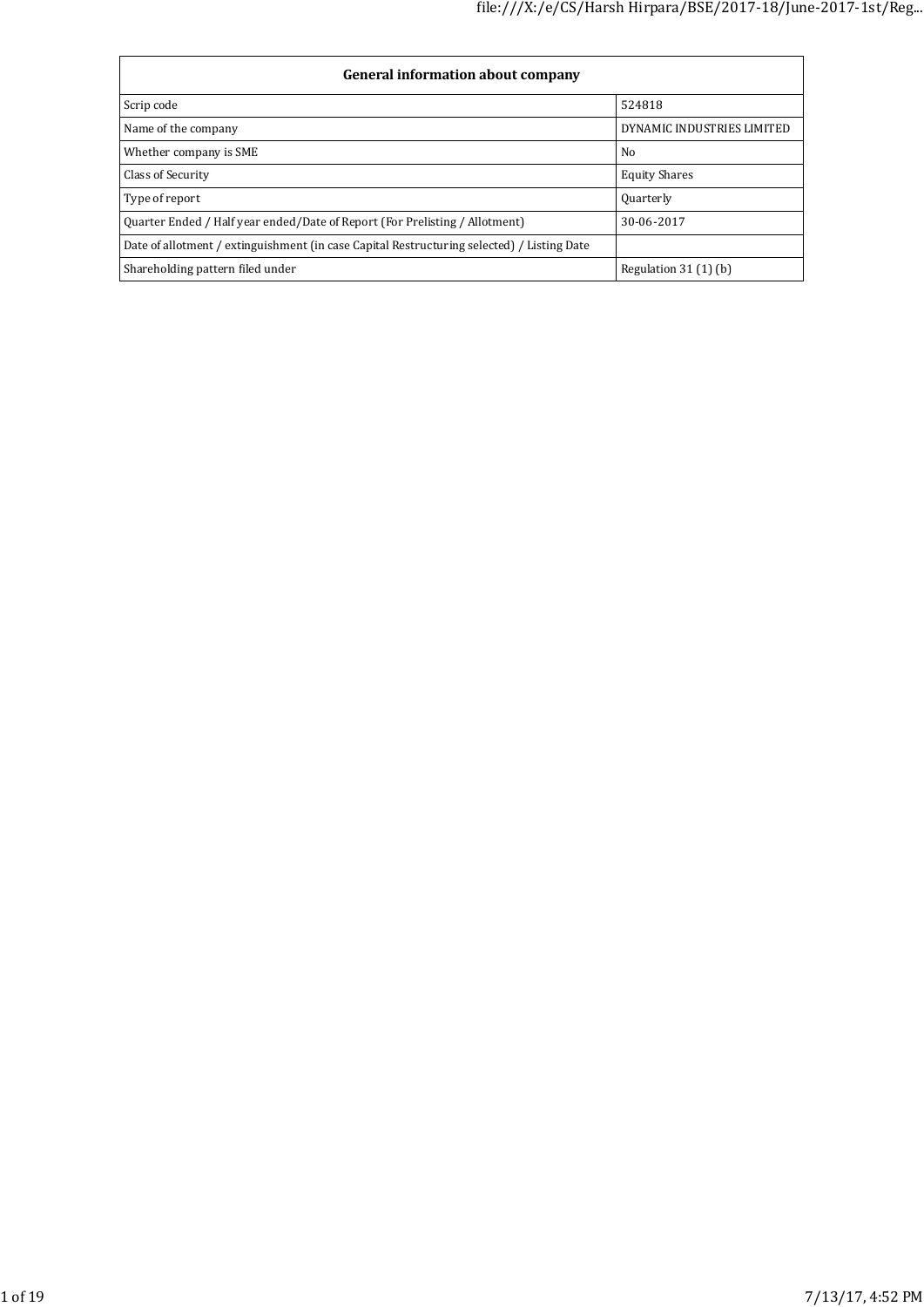| General information about company                                                          |                            |  |  |  |  |
|--------------------------------------------------------------------------------------------|----------------------------|--|--|--|--|
| Scrip code                                                                                 | 524818                     |  |  |  |  |
| Name of the company                                                                        | DYNAMIC INDUSTRIES LIMITED |  |  |  |  |
| Whether company is SME                                                                     | No                         |  |  |  |  |
| Class of Security                                                                          | <b>Equity Shares</b>       |  |  |  |  |
| Type of report                                                                             | <b>Quarterly</b>           |  |  |  |  |
| Ouarter Ended / Half year ended/Date of Report (For Prelisting / Allotment)                | 30-06-2017                 |  |  |  |  |
| Date of allotment / extinguishment (in case Capital Restructuring selected) / Listing Date |                            |  |  |  |  |
| Shareholding pattern filed under                                                           | Regulation $31(1)(b)$      |  |  |  |  |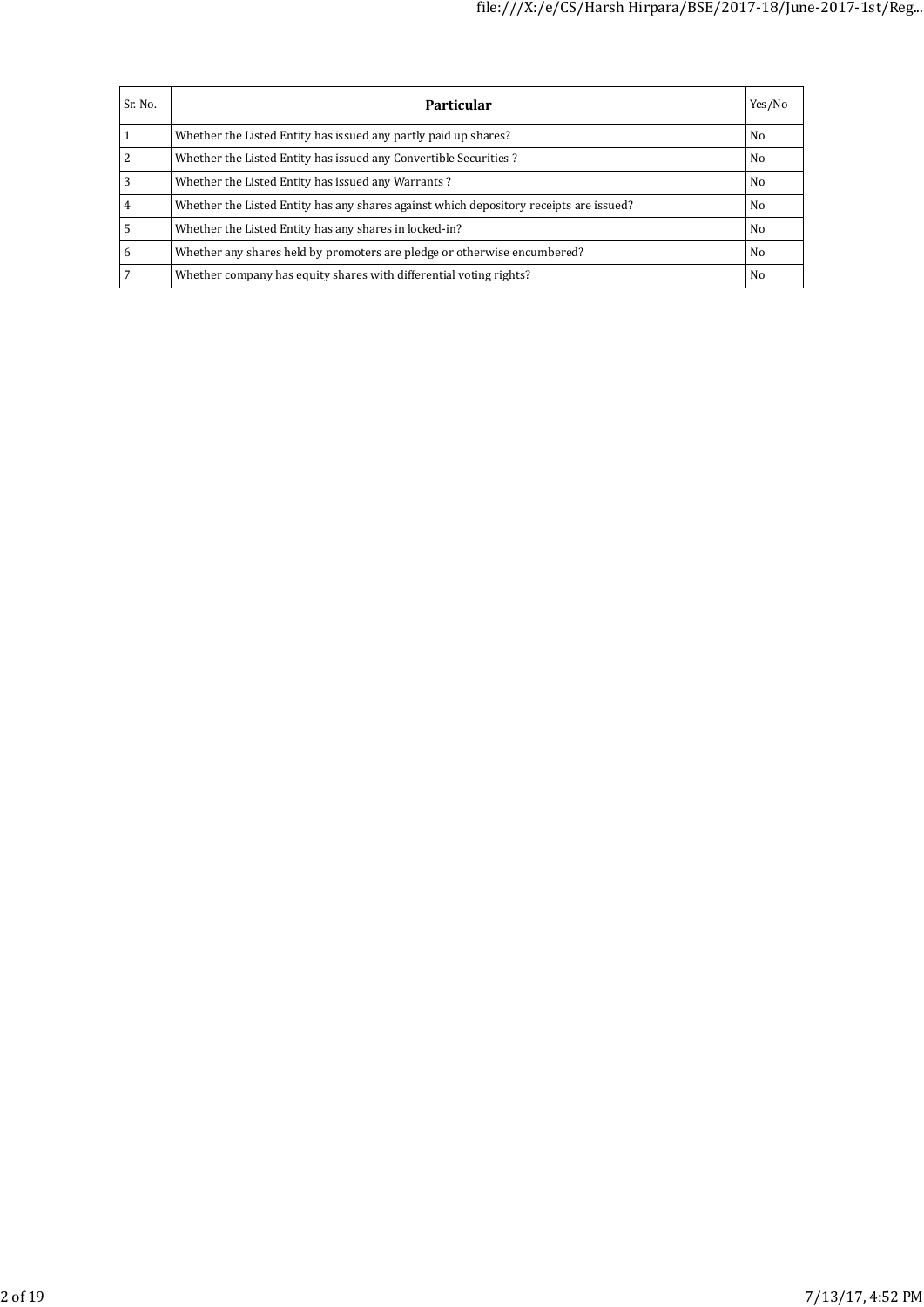| Sr. No. | <b>Particular</b>                                                                      | Yes/No |
|---------|----------------------------------------------------------------------------------------|--------|
|         | Whether the Listed Entity has issued any partly paid up shares?                        | No     |
|         | Whether the Listed Entity has issued any Convertible Securities?                       | No     |
| 3       | Whether the Listed Entity has issued any Warrants?                                     | No     |
| 4       | Whether the Listed Entity has any shares against which depository receipts are issued? | No     |
|         | Whether the Listed Entity has any shares in locked-in?                                 | No     |
| 6       | Whether any shares held by promoters are pledge or otherwise encumbered?               | No     |
|         | Whether company has equity shares with differential voting rights?                     | No     |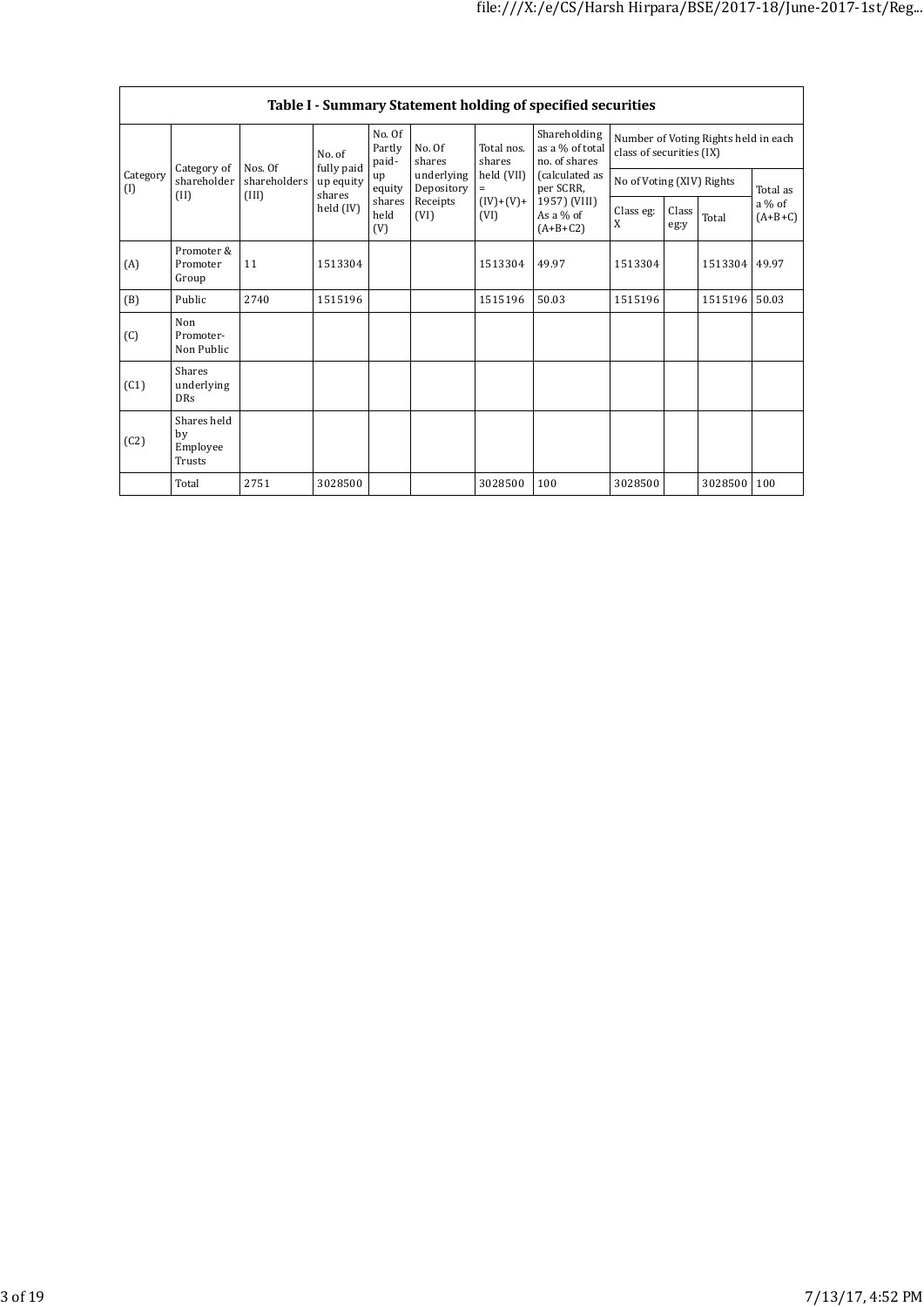|                 | Table I - Summary Statement holding of specified securities |                       |                           |                                                                                                         |                          |                                                  |                                                                  |                           |                       |         |          |
|-----------------|-------------------------------------------------------------|-----------------------|---------------------------|---------------------------------------------------------------------------------------------------------|--------------------------|--------------------------------------------------|------------------------------------------------------------------|---------------------------|-----------------------|---------|----------|
| Category of     | Nos. Of                                                     | No. of<br>fully paid  | No. Of<br>Partly<br>paid- | No. Of<br>shares                                                                                        | Total nos.<br>shares     | Shareholding<br>as a % of total<br>no. of shares | Number of Voting Rights held in each<br>class of securities (IX) |                           |                       |         |          |
| Category<br>(I) | shareholder                                                 | shareholders<br>(III) | up equity                 | up<br>equity                                                                                            | underlying<br>Depository | held (VII)<br>$=$                                | (calculated as<br>per SCRR,                                      | No of Voting (XIV) Rights |                       |         | Total as |
|                 | (II)                                                        |                       | held $(IV)$               | shares<br>shares<br>Receipts<br>$(IV)+(V)+$<br>As a $%$ of<br>held<br>(VI)<br>(VI)<br>(V)<br>$(A+B+C2)$ | 1957) (VIII)             | Class eg:<br>X                                   | Class<br>eg:y                                                    | Total                     | $a\%$ of<br>$(A+B+C)$ |         |          |
| (A)             | Promoter &<br>Promoter<br>Group                             | 11                    | 1513304                   |                                                                                                         |                          | 1513304                                          | 49.97                                                            | 1513304                   |                       | 1513304 | 49.97    |
| (B)             | Public                                                      | 2740                  | 1515196                   |                                                                                                         |                          | 1515196                                          | 50.03                                                            | 1515196                   |                       | 1515196 | 50.03    |
| (C)             | Non<br>Promoter-<br>Non Public                              |                       |                           |                                                                                                         |                          |                                                  |                                                                  |                           |                       |         |          |
| (C1)            | <b>Shares</b><br>underlying<br><b>DRs</b>                   |                       |                           |                                                                                                         |                          |                                                  |                                                                  |                           |                       |         |          |
| (C2)            | Shares held<br>by<br>Employee<br>Trusts                     |                       |                           |                                                                                                         |                          |                                                  |                                                                  |                           |                       |         |          |
|                 | Total                                                       | 2751                  | 3028500                   |                                                                                                         |                          | 3028500                                          | 100                                                              | 3028500                   |                       | 3028500 | 100      |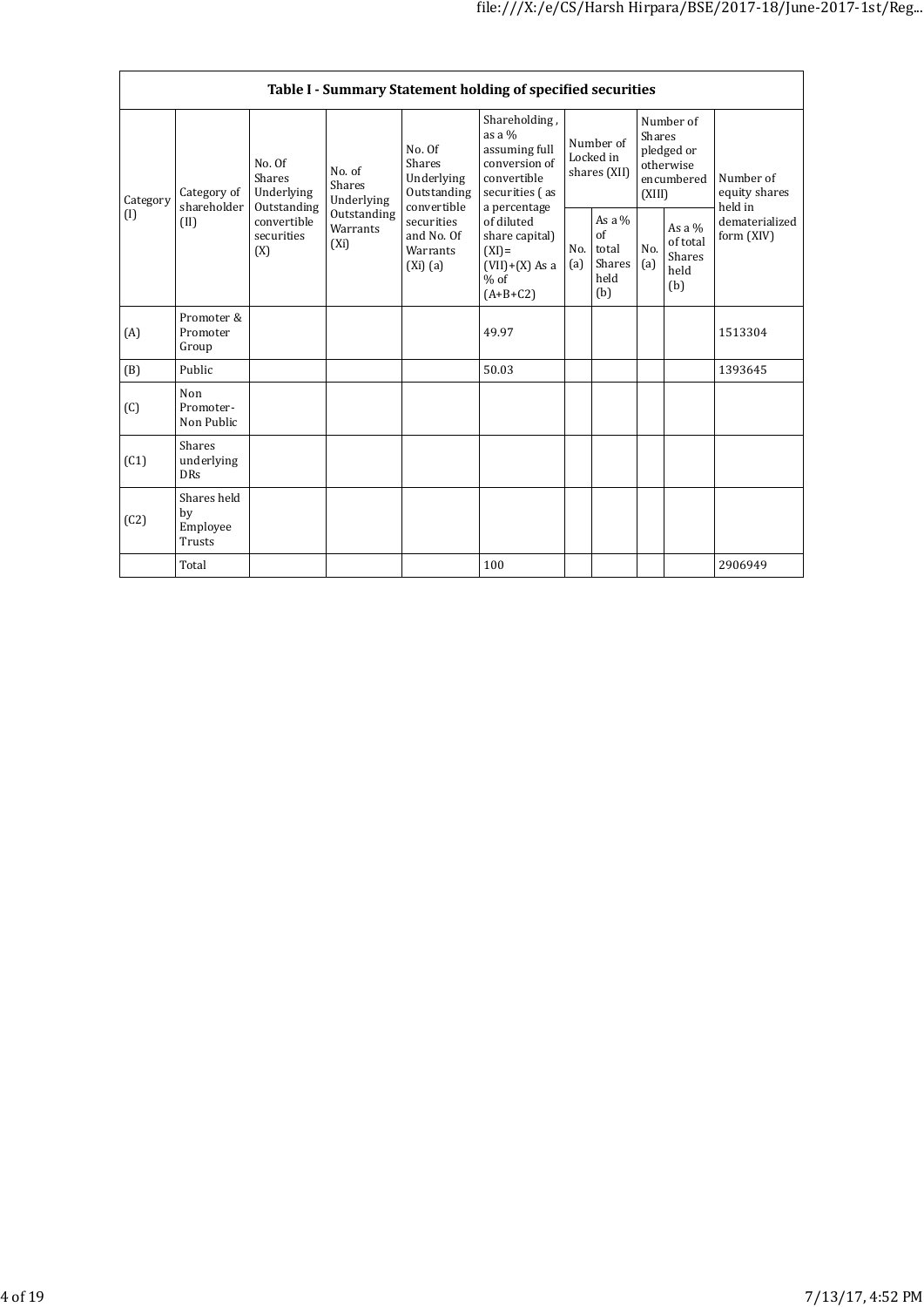|          | Table I - Summary Statement holding of specified securities                                                                                                               |                                                                |                                       |                                                          |                                                                                                              |                                               |                              |                                                                        |  |                                       |
|----------|---------------------------------------------------------------------------------------------------------------------------------------------------------------------------|----------------------------------------------------------------|---------------------------------------|----------------------------------------------------------|--------------------------------------------------------------------------------------------------------------|-----------------------------------------------|------------------------------|------------------------------------------------------------------------|--|---------------------------------------|
| Category | Category of<br>shareholder                                                                                                                                                | No. Of<br>Shares<br>Underlying<br>Outstanding                  | No. of<br><b>Shares</b><br>Underlying | No. Of<br>Shares<br>Underlying<br>Outstanding            | Shareholding,<br>as a $%$<br>assuming full<br>conversion of<br>convertible<br>securities (as<br>a percentage | Number of<br>Locked in<br>shares (XII)        |                              | Number of<br>Shares<br>pledged or<br>otherwise<br>encumbered<br>(XIII) |  | Number of<br>equity shares<br>held in |
| (1)      | convertible<br>Outstanding<br>(II)<br>convertible<br>securities<br>Warrants<br>securities<br>and No. Of<br>$(X_i)$<br>$(XI) =$<br>(X)<br>Warrants<br>$(Xi)$ (a)<br>$%$ of | of diluted<br>share capital)<br>$(VII)+(X)$ As a<br>$(A+B+C2)$ | No.<br>(a)                            | As a $%$<br>$\alpha$ f<br>total<br>Shares<br>held<br>(b) | No.<br>(a)                                                                                                   | As a $%$<br>of total<br>Shares<br>held<br>(b) | dematerialized<br>form (XIV) |                                                                        |  |                                       |
| (A)      | Promoter &<br>Promoter<br>Group                                                                                                                                           |                                                                |                                       |                                                          | 49.97                                                                                                        |                                               |                              |                                                                        |  | 1513304                               |
| (B)      | Public                                                                                                                                                                    |                                                                |                                       |                                                          | 50.03                                                                                                        |                                               |                              |                                                                        |  | 1393645                               |
| (C)      | Non<br>Promoter-<br>Non Public                                                                                                                                            |                                                                |                                       |                                                          |                                                                                                              |                                               |                              |                                                                        |  |                                       |
| (C1)     | <b>Shares</b><br>underlying<br><b>DRs</b>                                                                                                                                 |                                                                |                                       |                                                          |                                                                                                              |                                               |                              |                                                                        |  |                                       |
| (C2)     | Shares held<br>by<br>Employee<br>Trusts                                                                                                                                   |                                                                |                                       |                                                          |                                                                                                              |                                               |                              |                                                                        |  |                                       |
|          | Total                                                                                                                                                                     |                                                                |                                       |                                                          | 100                                                                                                          |                                               |                              |                                                                        |  | 2906949                               |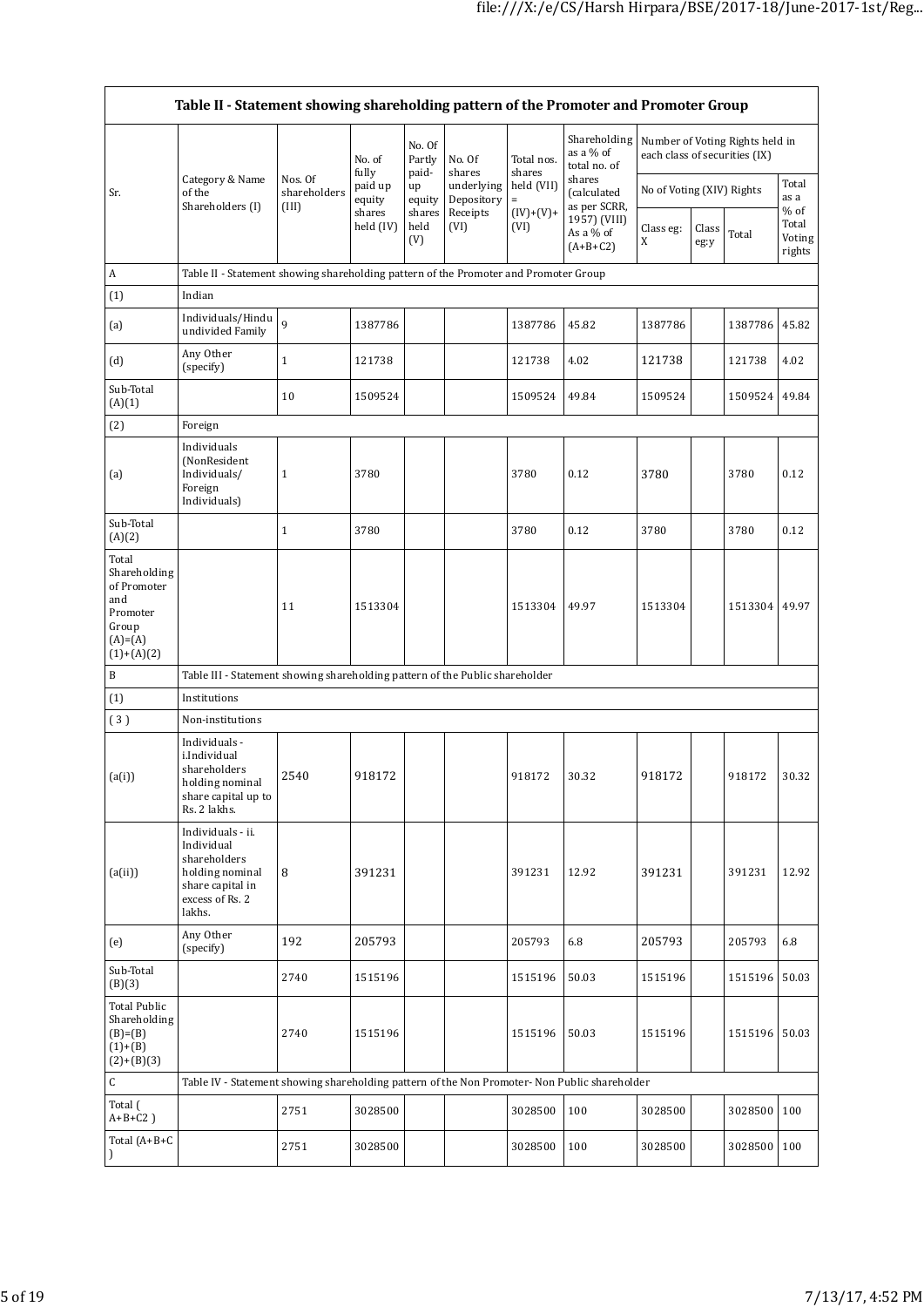$\overline{\phantom{a}}$ 

|                                                                                               | Table II - Statement showing shareholding pattern of the Promoter and Promoter Group                                |                                  |                     |                           |                          |                      |                                             |                               |                           |                                 |                           |  |
|-----------------------------------------------------------------------------------------------|---------------------------------------------------------------------------------------------------------------------|----------------------------------|---------------------|---------------------------|--------------------------|----------------------|---------------------------------------------|-------------------------------|---------------------------|---------------------------------|---------------------------|--|
|                                                                                               |                                                                                                                     |                                  | No. of<br>fully     | No. Of<br>Partly<br>paid- | No. Of<br>shares         | Total nos.<br>shares | Shareholding<br>as a $%$ of<br>total no. of | each class of securities (IX) |                           | Number of Voting Rights held in |                           |  |
| Sr.                                                                                           | Category & Name<br>of the<br>Shareholders (I)                                                                       | Nos. Of<br>shareholders<br>(III) | paid up<br>equity   | up<br>equity              | underlying<br>Depository | held (VII)<br>$=$    | shares<br>(calculated<br>as per SCRR,       |                               | No of Voting (XIV) Rights |                                 | Total<br>as a<br>% of     |  |
|                                                                                               |                                                                                                                     |                                  | shares<br>held (IV) | shares<br>held<br>(V)     | Receipts<br>(VI)         | $(IV)+(V)+$<br>(VI)  | 1957) (VIII)<br>As a % of<br>$(A+B+C2)$     | Class eg:<br>X                | Class<br>eg:y             | Total                           | Total<br>Voting<br>rights |  |
| A                                                                                             | Table II - Statement showing shareholding pattern of the Promoter and Promoter Group                                |                                  |                     |                           |                          |                      |                                             |                               |                           |                                 |                           |  |
| (1)                                                                                           | Indian                                                                                                              |                                  |                     |                           |                          |                      |                                             |                               |                           |                                 |                           |  |
| (a)                                                                                           | Individuals/Hindu<br>undivided Family                                                                               | 9                                | 1387786             |                           |                          | 1387786              | 45.82                                       | 1387786                       |                           | 1387786                         | 45.82                     |  |
| (d)                                                                                           | Any Other<br>(specify)                                                                                              | $\mathbf{1}$                     | 121738              |                           |                          | 121738               | 4.02                                        | 121738                        |                           | 121738                          | 4.02                      |  |
| Sub-Total<br>(A)(1)                                                                           |                                                                                                                     | 10                               | 1509524             |                           |                          | 1509524              | 49.84                                       | 1509524                       |                           | 1509524                         | 49.84                     |  |
| (2)                                                                                           | Foreign                                                                                                             |                                  |                     |                           |                          |                      |                                             |                               |                           |                                 |                           |  |
| (a)                                                                                           | Individuals<br>(NonResident<br>Individuals/<br>Foreign<br>Individuals)                                              | $\mathbf{1}$                     | 3780                |                           |                          | 3780                 | 0.12                                        | 3780                          |                           | 3780                            | 0.12                      |  |
| Sub-Total<br>(A)(2)                                                                           |                                                                                                                     | $\mathbf{1}$                     | 3780                |                           |                          | 3780                 | 0.12                                        | 3780                          |                           | 3780                            | 0.12                      |  |
| Total<br>Shareholding<br>of Promoter<br>and<br>Promoter<br>Group<br>$(A)=(A)$<br>$(1)+(A)(2)$ |                                                                                                                     | 11                               | 1513304             |                           |                          | 1513304              | 49.97                                       | 1513304                       |                           | 1513304                         | 49.97                     |  |
| B                                                                                             | Table III - Statement showing shareholding pattern of the Public shareholder                                        |                                  |                     |                           |                          |                      |                                             |                               |                           |                                 |                           |  |
| (1)                                                                                           | Institutions                                                                                                        |                                  |                     |                           |                          |                      |                                             |                               |                           |                                 |                           |  |
| (3)                                                                                           | Non-institutions                                                                                                    |                                  |                     |                           |                          |                      |                                             |                               |                           |                                 |                           |  |
| (a(i))                                                                                        | Individuals -<br>i.Individual<br>shareholders<br>holding nominal<br>share capital up to<br>Rs. 2 lakhs.             | 2540                             | 918172              |                           |                          | 918172               | 30.32                                       | 918172                        |                           | 918172                          | 30.32                     |  |
| (a(ii))                                                                                       | Individuals - ii.<br>Individual<br>shareholders<br>holding nominal<br>share capital in<br>excess of Rs. 2<br>lakhs. | 8                                | 391231              |                           |                          | 391231               | 12.92                                       | 391231                        |                           | 391231                          | 12.92                     |  |
| (e)                                                                                           | Any Other<br>(specify)                                                                                              | 192                              | 205793              |                           |                          | 205793               | 6.8                                         | 205793                        |                           | 205793                          | 6.8                       |  |
| Sub-Total<br>(B)(3)                                                                           |                                                                                                                     | 2740                             | 1515196             |                           |                          | 1515196              | 50.03                                       | 1515196                       |                           | 1515196                         | 50.03                     |  |
| Total Public<br>Shareholding<br>$(B)=(B)$<br>$(1)+(B)$<br>$(2)+(B)(3)$                        |                                                                                                                     | 2740                             | 1515196             |                           |                          | 1515196              | 50.03                                       | 1515196                       |                           | 1515196 50.03                   |                           |  |
| С                                                                                             | Table IV - Statement showing shareholding pattern of the Non Promoter- Non Public shareholder                       |                                  |                     |                           |                          |                      |                                             |                               |                           |                                 |                           |  |
| Total (<br>$A+B+C2$ )                                                                         |                                                                                                                     | 2751                             | 3028500             |                           |                          | 3028500              | 100                                         | 3028500                       |                           | 3028500                         | 100                       |  |
| Total $(A+B+C)$<br>$\mathcal{F}$                                                              |                                                                                                                     | 2751                             | 3028500             |                           |                          | 3028500              | 100                                         | 3028500                       |                           | 3028500 100                     |                           |  |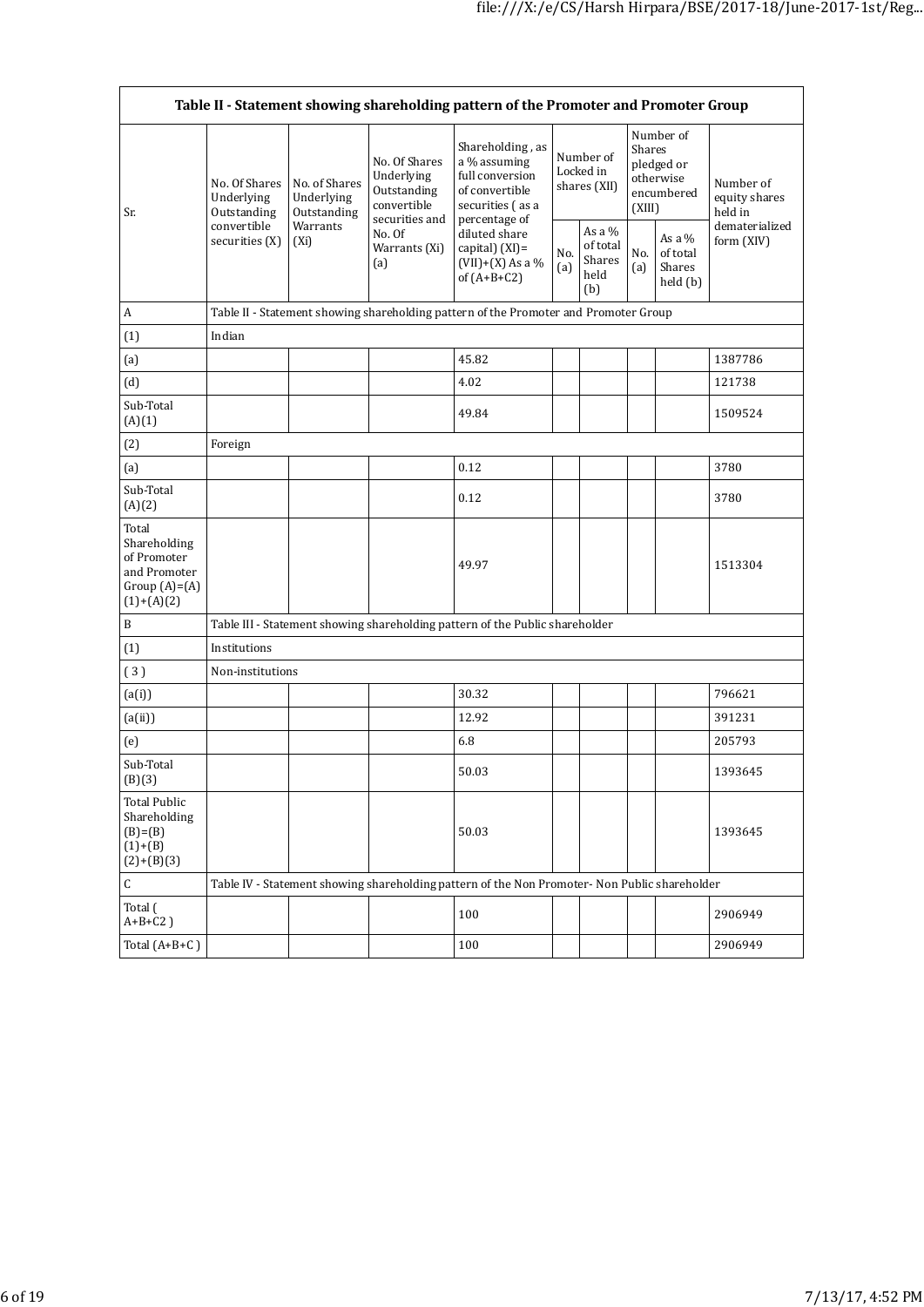|                                                                                         | Table II - Statement showing shareholding pattern of the Promoter and Promoter Group                                                                                                                                                                                                                                                                                                                                                                      |            |                                               |                                                                                               |                                            |                                        |                                                                               |  |                                       |
|-----------------------------------------------------------------------------------------|-----------------------------------------------------------------------------------------------------------------------------------------------------------------------------------------------------------------------------------------------------------------------------------------------------------------------------------------------------------------------------------------------------------------------------------------------------------|------------|-----------------------------------------------|-----------------------------------------------------------------------------------------------|--------------------------------------------|----------------------------------------|-------------------------------------------------------------------------------|--|---------------------------------------|
| Sr.                                                                                     | Shareholding, as<br>No. Of Shares<br>a % assuming<br>full conversion<br>Underlying<br>No. Of Shares<br>No. of Shares<br>of convertible<br>Outstanding<br>Underlying<br>Underlying<br>convertible<br>securities (as a<br>Outstanding<br>Outstanding<br>securities and<br>percentage of<br>convertible<br>Warrants<br>No. Of<br>diluted share<br>securities (X)<br>$(X_i)$<br>Warrants (Xi)<br>capital) (XI)=<br>(a)<br>$(VII)+(X)$ As a %<br>of $(A+B+C2)$ |            |                                               |                                                                                               |                                            | Number of<br>Locked in<br>shares (XII) | Number of<br><b>Shares</b><br>pledged or<br>otherwise<br>encumbered<br>(XIII) |  | Number of<br>equity shares<br>held in |
|                                                                                         |                                                                                                                                                                                                                                                                                                                                                                                                                                                           | No.<br>(a) | As a $%$<br>of total<br>Shares<br>held<br>(b) | No.<br>(a)                                                                                    | As a $%$<br>of total<br>Shares<br>held (b) | dematerialized<br>form (XIV)           |                                                                               |  |                                       |
| A                                                                                       |                                                                                                                                                                                                                                                                                                                                                                                                                                                           |            |                                               | Table II - Statement showing shareholding pattern of the Promoter and Promoter Group          |                                            |                                        |                                                                               |  |                                       |
| (1)                                                                                     | Indian                                                                                                                                                                                                                                                                                                                                                                                                                                                    |            |                                               |                                                                                               |                                            |                                        |                                                                               |  |                                       |
| (a)                                                                                     |                                                                                                                                                                                                                                                                                                                                                                                                                                                           |            |                                               | 45.82                                                                                         |                                            |                                        |                                                                               |  | 1387786                               |
| (d)                                                                                     |                                                                                                                                                                                                                                                                                                                                                                                                                                                           |            |                                               | 4.02                                                                                          |                                            |                                        |                                                                               |  | 121738                                |
| Sub-Total<br>(A)(1)                                                                     |                                                                                                                                                                                                                                                                                                                                                                                                                                                           |            |                                               | 49.84                                                                                         |                                            |                                        |                                                                               |  | 1509524                               |
| (2)                                                                                     | Foreign                                                                                                                                                                                                                                                                                                                                                                                                                                                   |            |                                               |                                                                                               |                                            |                                        |                                                                               |  |                                       |
| (a)                                                                                     |                                                                                                                                                                                                                                                                                                                                                                                                                                                           |            |                                               | 0.12                                                                                          |                                            |                                        |                                                                               |  | 3780                                  |
| Sub-Total<br>(A)(2)                                                                     |                                                                                                                                                                                                                                                                                                                                                                                                                                                           |            |                                               | 0.12                                                                                          |                                            |                                        |                                                                               |  | 3780                                  |
| Total<br>Shareholding<br>of Promoter<br>and Promoter<br>Group $(A)=(A)$<br>$(1)+(A)(2)$ |                                                                                                                                                                                                                                                                                                                                                                                                                                                           |            |                                               | 49.97                                                                                         |                                            |                                        |                                                                               |  | 1513304                               |
| $\, {\bf B}$                                                                            |                                                                                                                                                                                                                                                                                                                                                                                                                                                           |            |                                               | Table III - Statement showing shareholding pattern of the Public shareholder                  |                                            |                                        |                                                                               |  |                                       |
| (1)                                                                                     | Institutions                                                                                                                                                                                                                                                                                                                                                                                                                                              |            |                                               |                                                                                               |                                            |                                        |                                                                               |  |                                       |
| (3)                                                                                     | Non-institutions                                                                                                                                                                                                                                                                                                                                                                                                                                          |            |                                               |                                                                                               |                                            |                                        |                                                                               |  |                                       |
| (a(i))                                                                                  |                                                                                                                                                                                                                                                                                                                                                                                                                                                           |            |                                               | 30.32                                                                                         |                                            |                                        |                                                                               |  | 796621                                |
| (a(ii))                                                                                 |                                                                                                                                                                                                                                                                                                                                                                                                                                                           |            |                                               | 12.92                                                                                         |                                            |                                        |                                                                               |  | 391231                                |
| (e)                                                                                     |                                                                                                                                                                                                                                                                                                                                                                                                                                                           |            |                                               | 6.8                                                                                           |                                            |                                        |                                                                               |  | 205793                                |
| Sub-Total<br>(B)(3)                                                                     |                                                                                                                                                                                                                                                                                                                                                                                                                                                           |            |                                               | 50.03                                                                                         |                                            |                                        |                                                                               |  | 1393645                               |
| <b>Total Public</b><br>Shareholding<br>$(B)=(B)$<br>$(1)+(B)$<br>$(2)+(B)(3)$           |                                                                                                                                                                                                                                                                                                                                                                                                                                                           |            |                                               | 50.03                                                                                         |                                            |                                        |                                                                               |  | 1393645                               |
| C                                                                                       |                                                                                                                                                                                                                                                                                                                                                                                                                                                           |            |                                               | Table IV - Statement showing shareholding pattern of the Non Promoter- Non Public shareholder |                                            |                                        |                                                                               |  |                                       |
| Total (<br>$A+B+C2$ )                                                                   |                                                                                                                                                                                                                                                                                                                                                                                                                                                           |            |                                               | 100                                                                                           |                                            |                                        |                                                                               |  | 2906949                               |
| Total $(A+B+C)$                                                                         |                                                                                                                                                                                                                                                                                                                                                                                                                                                           |            |                                               | 100                                                                                           |                                            |                                        |                                                                               |  | 2906949                               |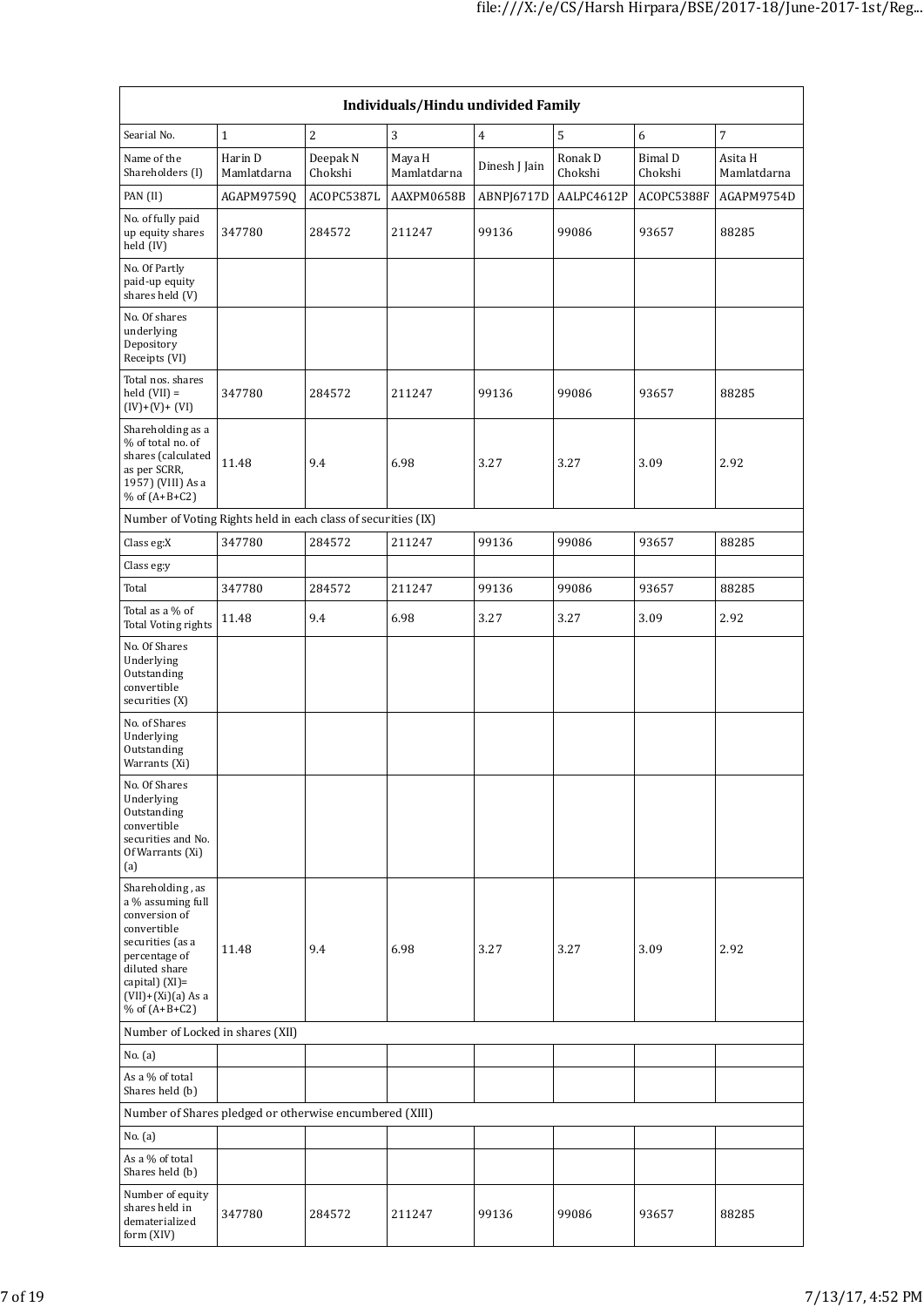|                                                                                                                                                                                             | Individuals/Hindu undivided Family |                     |                       |                |                    |                           |                        |  |
|---------------------------------------------------------------------------------------------------------------------------------------------------------------------------------------------|------------------------------------|---------------------|-----------------------|----------------|--------------------|---------------------------|------------------------|--|
| Searial No.                                                                                                                                                                                 | $\mathbf{1}$                       | 2                   | $\overline{3}$        | $\overline{4}$ | 5                  | 6                         | $\sqrt{7}$             |  |
| Name of the<br>Shareholders (I)                                                                                                                                                             | Harin D<br>Mamlatdarna             | Deepak N<br>Chokshi | Maya H<br>Mamlatdarna | Dinesh J Jain  | Ronak D<br>Chokshi | <b>Bimal D</b><br>Chokshi | Asita H<br>Mamlatdarna |  |
| PAN (II)                                                                                                                                                                                    | AGAPM9759Q                         | ACOPC5387L          | AAXPM0658B            | ABNPJ6717D     | AALPC4612P         | ACOPC5388F                | AGAPM9754D             |  |
| No. of fully paid<br>up equity shares<br>held (IV)                                                                                                                                          | 347780                             | 284572              | 211247                | 99136          | 99086              | 93657                     | 88285                  |  |
| No. Of Partly<br>paid-up equity<br>shares held (V)                                                                                                                                          |                                    |                     |                       |                |                    |                           |                        |  |
| No. Of shares<br>underlying<br>Depository<br>Receipts (VI)                                                                                                                                  |                                    |                     |                       |                |                    |                           |                        |  |
| Total nos. shares<br>held $(VII) =$<br>$(IV)+(V)+(VI)$                                                                                                                                      | 347780                             | 284572              | 211247                | 99136          | 99086              | 93657                     | 88285                  |  |
| Shareholding as a<br>% of total no. of<br>shares (calculated<br>as per SCRR,<br>1957) (VIII) As a<br>% of $(A+B+C2)$                                                                        | 11.48                              | 9.4                 | 6.98                  | 3.27           | 3.27               | 3.09                      | 2.92                   |  |
| Number of Voting Rights held in each class of securities (IX)                                                                                                                               |                                    |                     |                       |                |                    |                           |                        |  |
| Class eg:X                                                                                                                                                                                  | 347780                             | 284572              | 211247                | 99136          | 99086              | 93657                     | 88285                  |  |
| Class eg:y                                                                                                                                                                                  |                                    |                     |                       |                |                    |                           |                        |  |
| Total                                                                                                                                                                                       | 347780                             | 284572              | 211247                | 99136          | 99086              | 93657                     | 88285                  |  |
| Total as a % of<br><b>Total Voting rights</b>                                                                                                                                               | 11.48                              | 9.4                 | 6.98                  | 3.27           | 3.27               | 3.09                      | 2.92                   |  |
| No. Of Shares<br>Underlying<br>Outstanding<br>convertible<br>securities (X)                                                                                                                 |                                    |                     |                       |                |                    |                           |                        |  |
| No. of Shares<br>Underlying<br>Outstanding<br>Warrants (Xi)                                                                                                                                 |                                    |                     |                       |                |                    |                           |                        |  |
| No. Of Shares<br>Underlying<br>Outstanding<br>convertible<br>securities and No.<br>Of Warrants (Xi)<br>(a)                                                                                  |                                    |                     |                       |                |                    |                           |                        |  |
| Shareholding, as<br>a % assuming full<br>conversion of<br>convertible<br>securities (as a<br>percentage of<br>diluted share<br>capital) $(XI)$ =<br>$(VII)+(Xi)(a) As a$<br>% of $(A+B+C2)$ | 11.48                              | 9.4                 | 6.98                  | 3.27           | 3.27               | 3.09                      | 2.92                   |  |
| Number of Locked in shares (XII)                                                                                                                                                            |                                    |                     |                       |                |                    |                           |                        |  |
| No. (a)                                                                                                                                                                                     |                                    |                     |                       |                |                    |                           |                        |  |
| As a % of total<br>Shares held (b)                                                                                                                                                          |                                    |                     |                       |                |                    |                           |                        |  |
| Number of Shares pledged or otherwise encumbered (XIII)                                                                                                                                     |                                    |                     |                       |                |                    |                           |                        |  |
| No. (a)                                                                                                                                                                                     |                                    |                     |                       |                |                    |                           |                        |  |
| As a % of total<br>Shares held (b)                                                                                                                                                          |                                    |                     |                       |                |                    |                           |                        |  |
| Number of equity<br>shares held in<br>dematerialized<br>form (XIV)                                                                                                                          | 347780                             | 284572              | 211247                | 99136          | 99086              | 93657                     | 88285                  |  |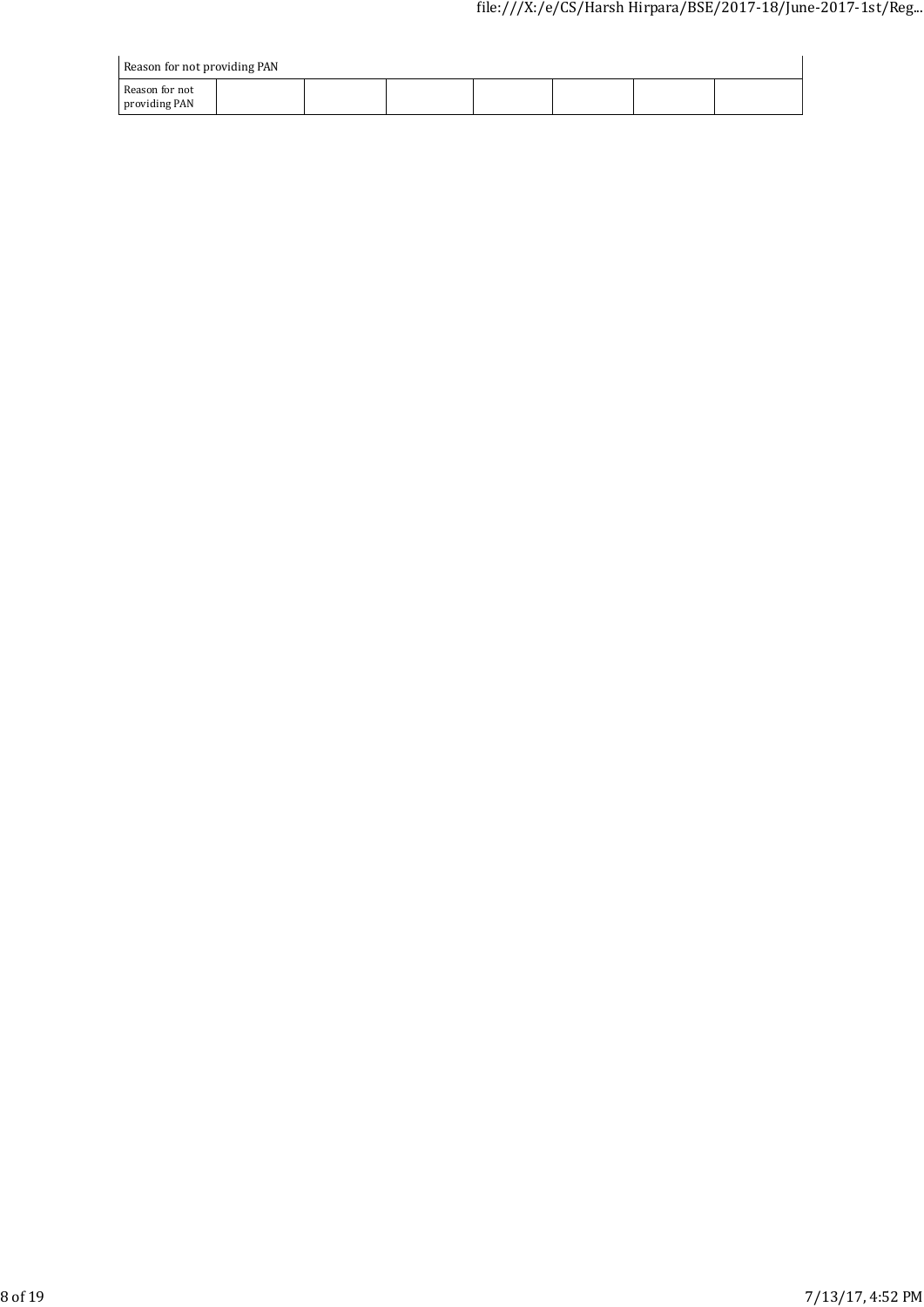| Reason for not providing PAN    |  |  |  |  |  |  |  |
|---------------------------------|--|--|--|--|--|--|--|
| Reason for not<br>providing PAN |  |  |  |  |  |  |  |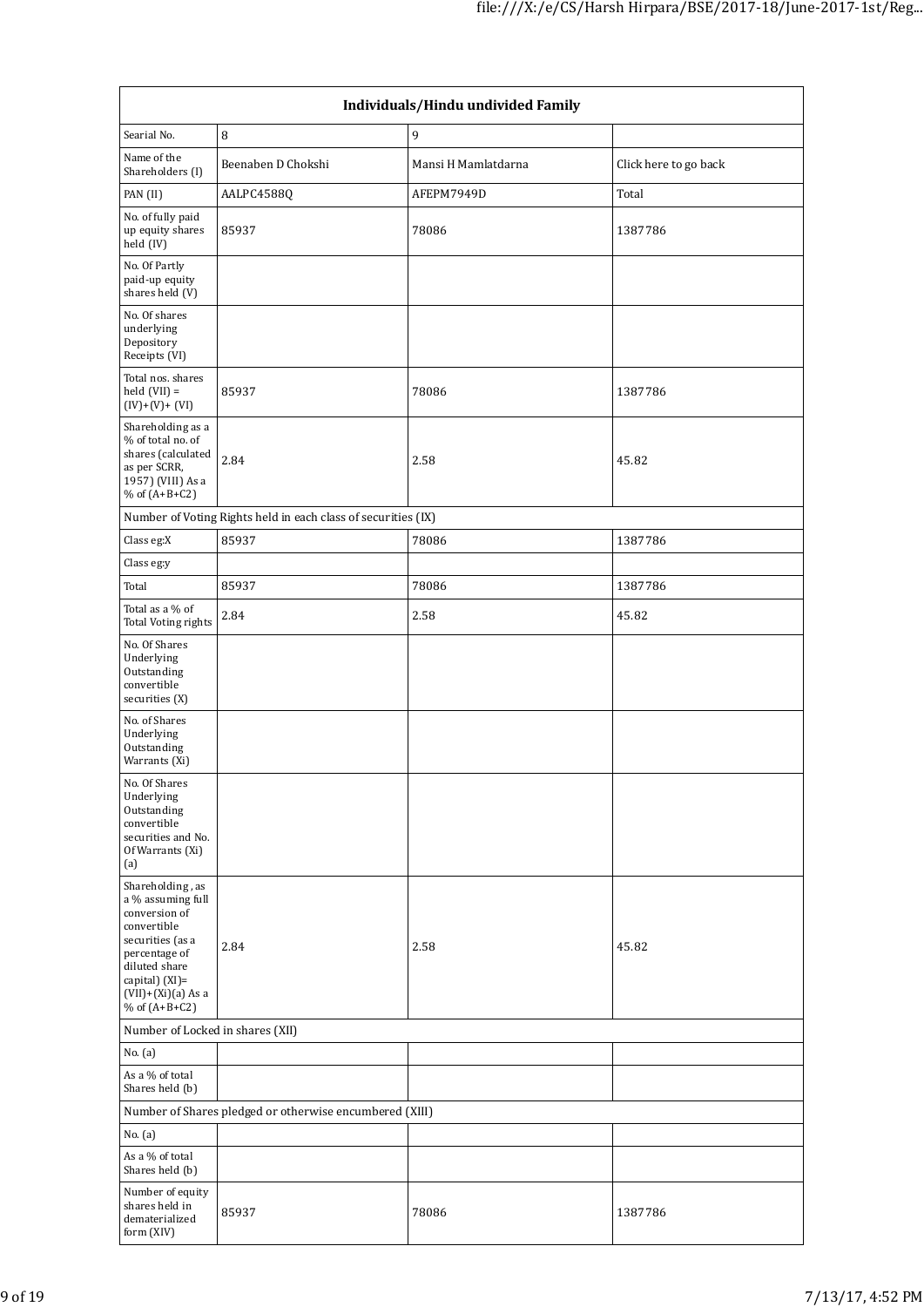| Individuals/Hindu undivided Family                                                                                                                                                          |                                                               |                     |                       |  |  |
|---------------------------------------------------------------------------------------------------------------------------------------------------------------------------------------------|---------------------------------------------------------------|---------------------|-----------------------|--|--|
| Searial No.                                                                                                                                                                                 | $\, 8$                                                        | 9                   |                       |  |  |
| Name of the<br>Shareholders (I)                                                                                                                                                             | Beenaben D Chokshi                                            | Mansi H Mamlatdarna | Click here to go back |  |  |
| PAN (II)                                                                                                                                                                                    | AALPC4588Q                                                    | AFEPM7949D          | Total                 |  |  |
| No. of fully paid<br>up equity shares<br>held (IV)                                                                                                                                          | 85937                                                         | 78086               | 1387786               |  |  |
| No. Of Partly<br>paid-up equity<br>shares held (V)                                                                                                                                          |                                                               |                     |                       |  |  |
| No. Of shares<br>underlying<br>Depository<br>Receipts (VI)                                                                                                                                  |                                                               |                     |                       |  |  |
| Total nos. shares<br>held $(VII)$ =<br>$(IV)+(V)+(VI)$                                                                                                                                      | 85937                                                         | 78086               | 1387786               |  |  |
| Shareholding as a<br>% of total no. of<br>shares (calculated<br>as per SCRR,<br>1957) (VIII) As a<br>% of $(A+B+C2)$                                                                        | 2.84                                                          | 2.58                | 45.82                 |  |  |
|                                                                                                                                                                                             | Number of Voting Rights held in each class of securities (IX) |                     |                       |  |  |
| Class eg:X                                                                                                                                                                                  | 85937                                                         | 78086               | 1387786               |  |  |
| Class eg:y                                                                                                                                                                                  |                                                               |                     |                       |  |  |
| Total                                                                                                                                                                                       | 85937                                                         | 78086               | 1387786               |  |  |
| Total as a % of<br>Total Voting rights                                                                                                                                                      | 2.84                                                          | 2.58                | 45.82                 |  |  |
| No. Of Shares<br>Underlying<br>Outstanding<br>convertible<br>securities (X)                                                                                                                 |                                                               |                     |                       |  |  |
| No. of Shares<br>Underlying<br>Outstanding<br>Warrants (Xi)                                                                                                                                 |                                                               |                     |                       |  |  |
| No. Of Shares<br>Underlying<br>Outstanding<br>convertible<br>securities and No.<br>Of Warrants (Xi)<br>(a)                                                                                  |                                                               |                     |                       |  |  |
| Shareholding, as<br>a % assuming full<br>conversion of<br>convertible<br>securities (as a<br>percentage of<br>diluted share<br>capital $)(XI)$ =<br>$(VII)+(Xi)(a)$ As a<br>% of $(A+B+C2)$ | 2.84                                                          | 2.58                | 45.82                 |  |  |
| Number of Locked in shares (XII)                                                                                                                                                            |                                                               |                     |                       |  |  |
| No. (a)                                                                                                                                                                                     |                                                               |                     |                       |  |  |
| As a % of total<br>Shares held (b)                                                                                                                                                          |                                                               |                     |                       |  |  |
|                                                                                                                                                                                             | Number of Shares pledged or otherwise encumbered (XIII)       |                     |                       |  |  |
| No. (a)                                                                                                                                                                                     |                                                               |                     |                       |  |  |
| As a % of total<br>Shares held (b)                                                                                                                                                          |                                                               |                     |                       |  |  |
| Number of equity<br>shares held in<br>dematerialized<br>form (XIV)                                                                                                                          | 85937                                                         | 78086               | 1387786               |  |  |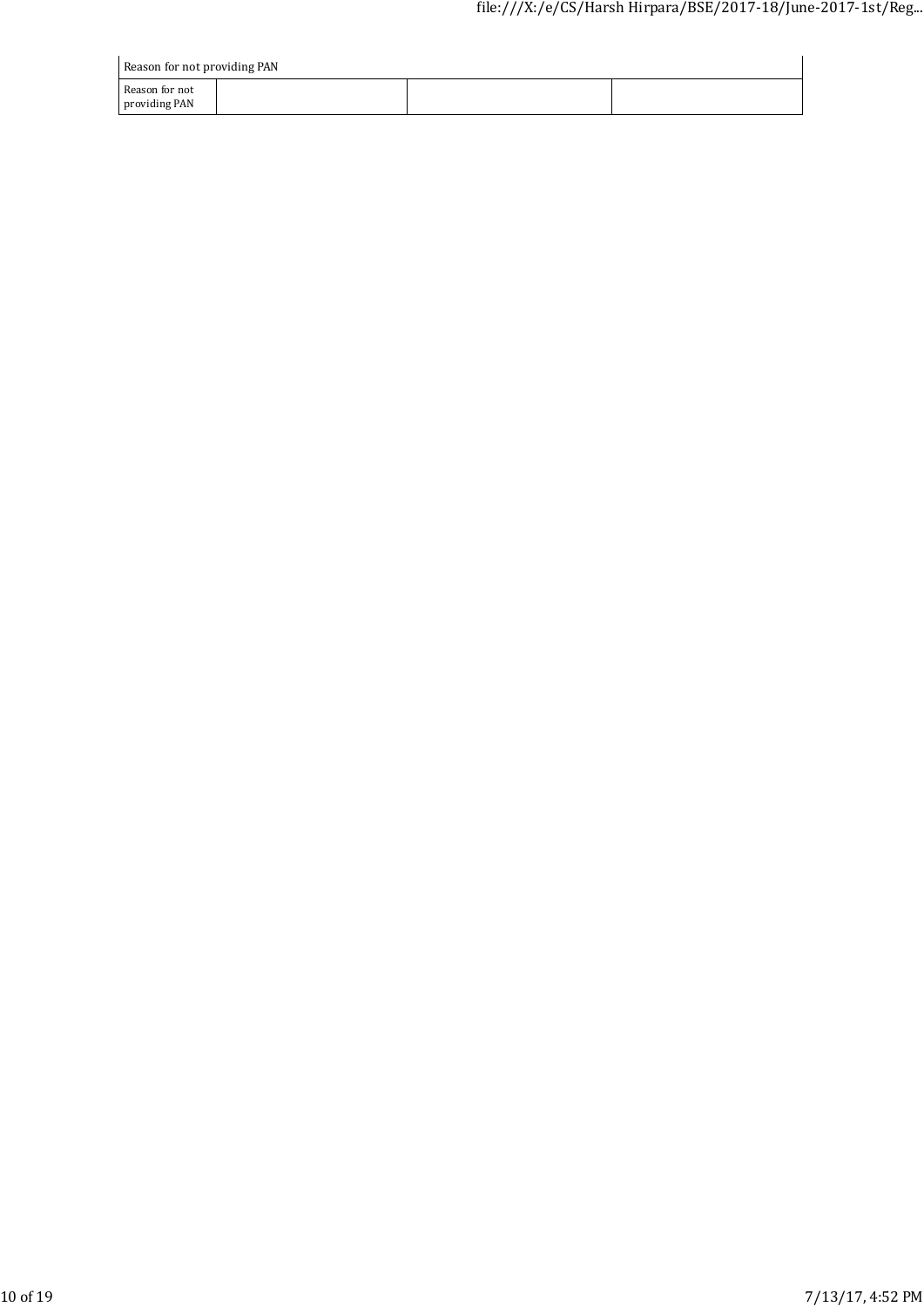| Reason for not providing PAN    |  |  |  |  |  |  |
|---------------------------------|--|--|--|--|--|--|
| Reason for not<br>providing PAN |  |  |  |  |  |  |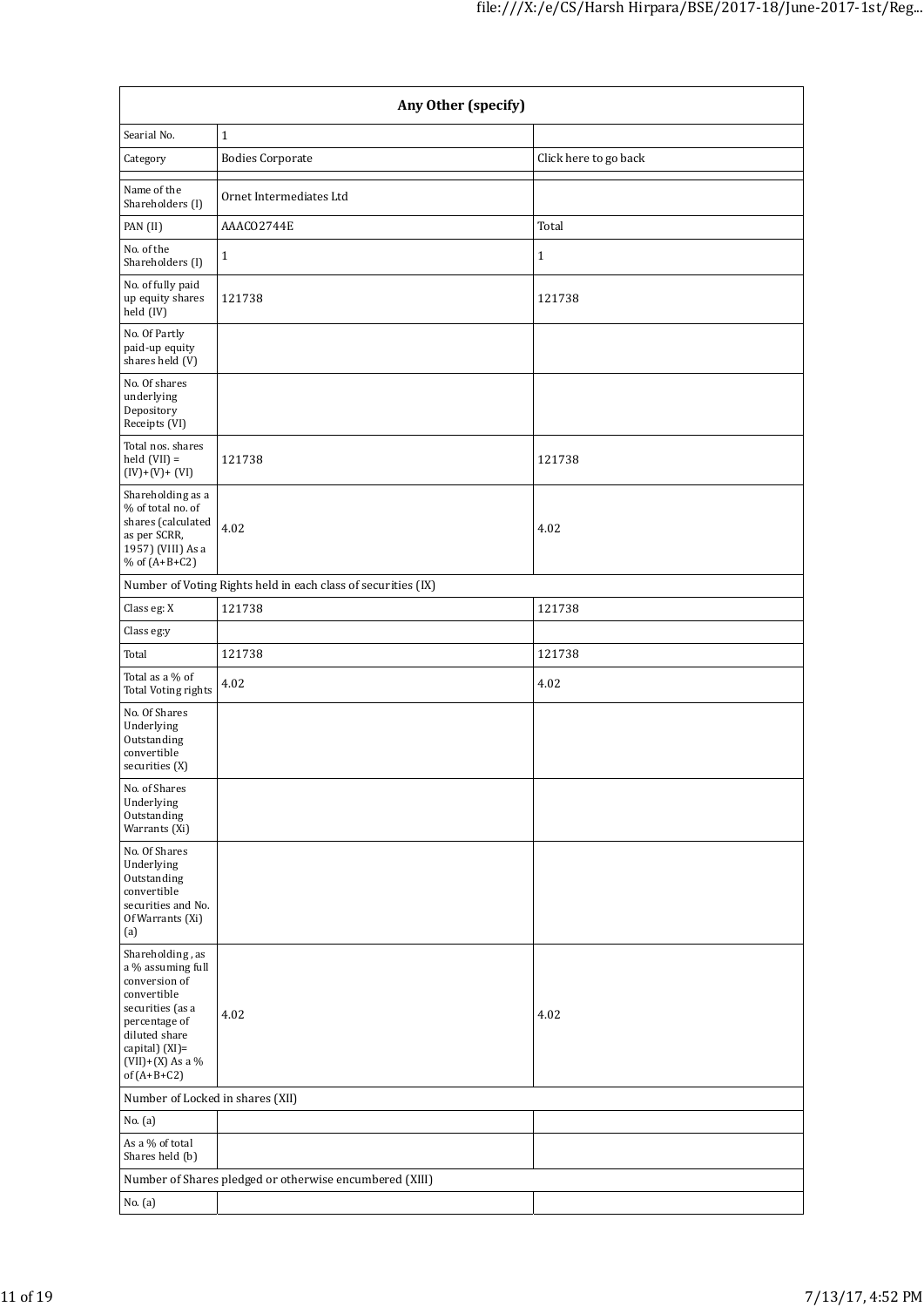| Any Other (specify)                                                                                                                                                                  |                                                               |                       |  |  |  |  |
|--------------------------------------------------------------------------------------------------------------------------------------------------------------------------------------|---------------------------------------------------------------|-----------------------|--|--|--|--|
| Searial No.                                                                                                                                                                          | $\mathbf{1}$                                                  |                       |  |  |  |  |
| Category                                                                                                                                                                             | <b>Bodies Corporate</b>                                       | Click here to go back |  |  |  |  |
| Name of the<br>Shareholders (I)                                                                                                                                                      | Ornet Intermediates Ltd                                       |                       |  |  |  |  |
| PAN (II)                                                                                                                                                                             | AAACO2744E                                                    | Total                 |  |  |  |  |
| No. of the<br>Shareholders (I)                                                                                                                                                       | $\mathbf{1}$                                                  | $\mathbf 1$           |  |  |  |  |
| No. of fully paid<br>up equity shares<br>held (IV)                                                                                                                                   | 121738                                                        | 121738                |  |  |  |  |
| No. Of Partly<br>paid-up equity<br>shares held (V)                                                                                                                                   |                                                               |                       |  |  |  |  |
| No. Of shares<br>underlying<br>Depository<br>Receipts (VI)                                                                                                                           |                                                               |                       |  |  |  |  |
| Total nos. shares<br>held $(VII)$ =<br>$(IV)+(V)+(VI)$                                                                                                                               | 121738                                                        | 121738                |  |  |  |  |
| Shareholding as a<br>% of total no. of<br>shares (calculated<br>as per SCRR,<br>1957) (VIII) As a<br>% of $(A+B+C2)$                                                                 | 4.02                                                          | 4.02                  |  |  |  |  |
|                                                                                                                                                                                      | Number of Voting Rights held in each class of securities (IX) |                       |  |  |  |  |
| Class eg: X                                                                                                                                                                          | 121738                                                        | 121738                |  |  |  |  |
| Class eg:y                                                                                                                                                                           |                                                               |                       |  |  |  |  |
| Total                                                                                                                                                                                | 121738                                                        | 121738                |  |  |  |  |
| Total as a % of<br>Total Voting rights                                                                                                                                               | 4.02                                                          | 4.02                  |  |  |  |  |
| No. Of Shares<br>Underlying<br>Outstanding<br>convertible<br>securities (X)                                                                                                          |                                                               |                       |  |  |  |  |
| No. of Shares<br>Underlying<br>Outstanding<br>Warrants (Xi)                                                                                                                          |                                                               |                       |  |  |  |  |
| No. Of Shares<br>Underlying<br>Outstanding<br>convertible<br>securities and No.<br>Of Warrants (Xi)<br>(a)                                                                           |                                                               |                       |  |  |  |  |
| Shareholding, as<br>a % assuming full<br>conversion of<br>convertible<br>securities (as a<br>percentage of<br>diluted share<br>capital) (XI)=<br>$(VII)+(X)$ As a %<br>of $(A+B+C2)$ | 4.02                                                          | 4.02                  |  |  |  |  |
| Number of Locked in shares (XII)                                                                                                                                                     |                                                               |                       |  |  |  |  |
| No. (a)                                                                                                                                                                              |                                                               |                       |  |  |  |  |
| As a % of total<br>Shares held (b)                                                                                                                                                   |                                                               |                       |  |  |  |  |
|                                                                                                                                                                                      | Number of Shares pledged or otherwise encumbered (XIII)       |                       |  |  |  |  |
| No. (a)                                                                                                                                                                              |                                                               |                       |  |  |  |  |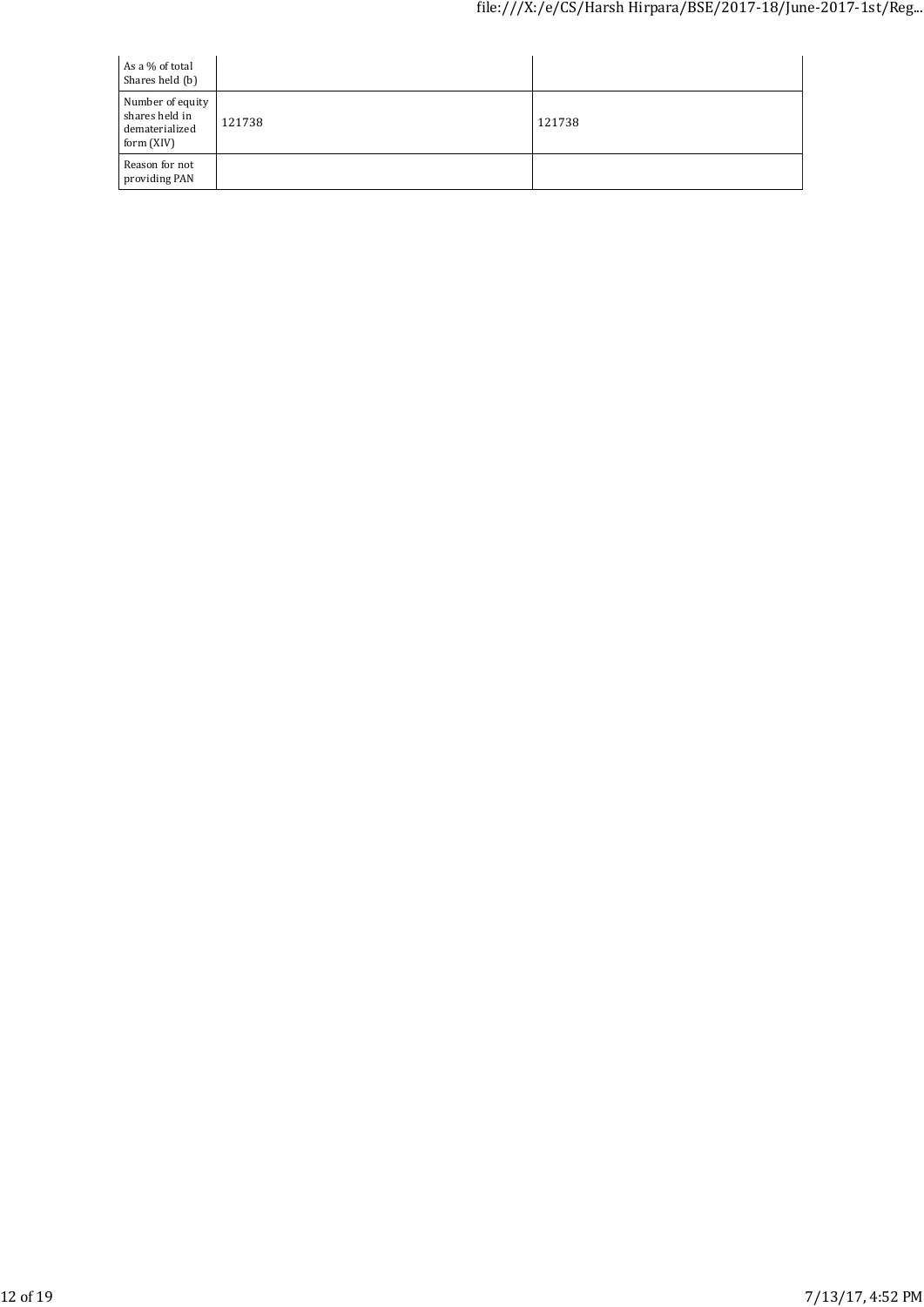| As a % of total<br>Shares held (b)                                 |        |        |
|--------------------------------------------------------------------|--------|--------|
| Number of equity<br>shares held in<br>dematerialized<br>form (XIV) | 121738 | 121738 |
| Reason for not<br>providing PAN                                    |        |        |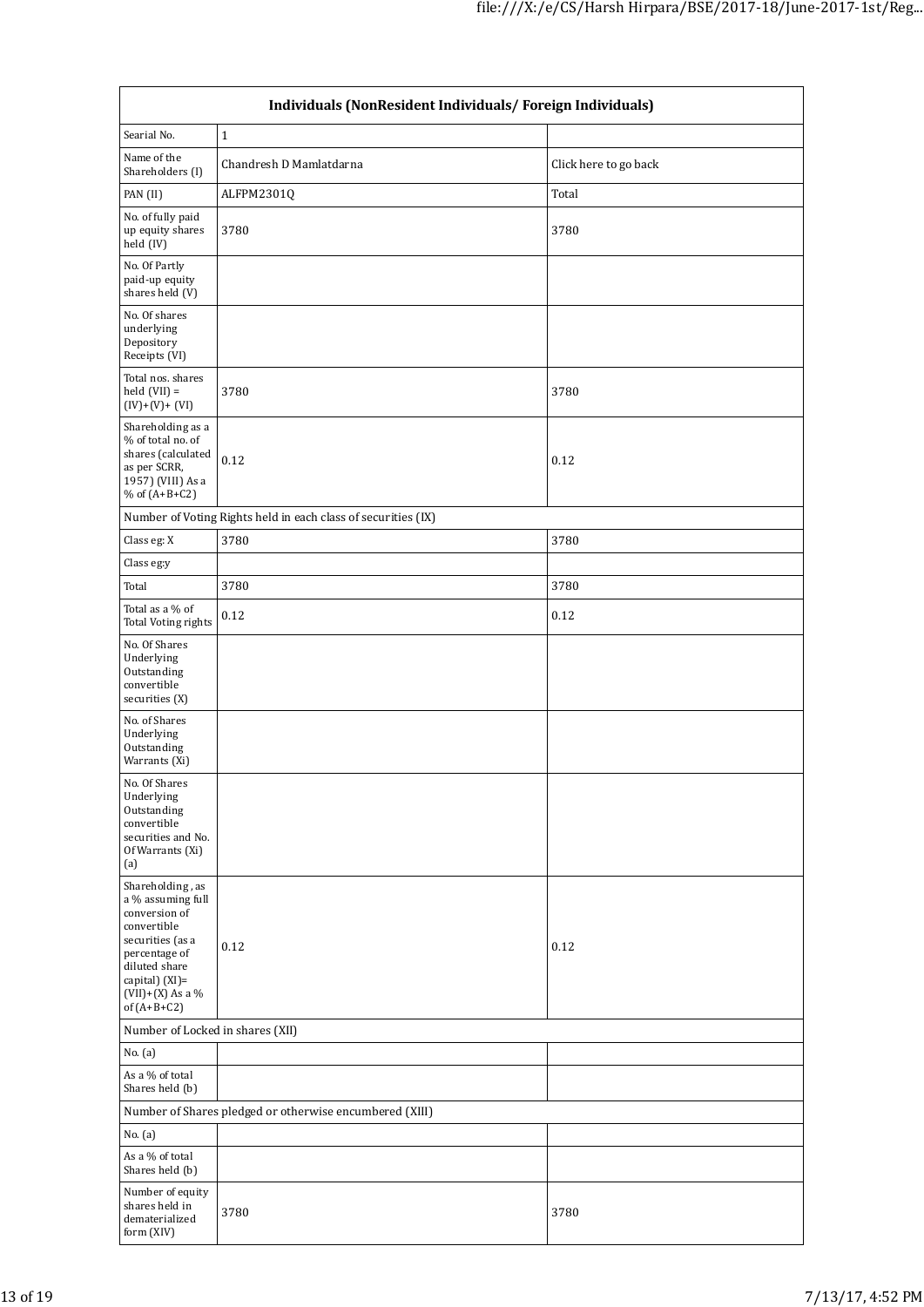| Individuals (NonResident Individuals/ Foreign Individuals)                                                                                                                           |                                                               |                       |  |  |  |  |
|--------------------------------------------------------------------------------------------------------------------------------------------------------------------------------------|---------------------------------------------------------------|-----------------------|--|--|--|--|
| Searial No.                                                                                                                                                                          | $\mathbf{1}$                                                  |                       |  |  |  |  |
| Name of the<br>Shareholders (I)                                                                                                                                                      | Chandresh D Mamlatdarna                                       | Click here to go back |  |  |  |  |
| PAN (II)                                                                                                                                                                             | ALFPM2301Q                                                    | Total                 |  |  |  |  |
| No. of fully paid<br>up equity shares<br>held (IV)                                                                                                                                   | 3780                                                          | 3780                  |  |  |  |  |
| No. Of Partly<br>paid-up equity<br>shares held (V)                                                                                                                                   |                                                               |                       |  |  |  |  |
| No. Of shares<br>underlying<br>Depository<br>Receipts (VI)                                                                                                                           |                                                               |                       |  |  |  |  |
| Total nos. shares<br>held $(VII) =$<br>$(IV)+(V)+(VI)$                                                                                                                               | 3780                                                          | 3780                  |  |  |  |  |
| Shareholding as a<br>% of total no. of<br>shares (calculated<br>as per SCRR,<br>1957) (VIII) As a<br>% of $(A+B+C2)$                                                                 | 0.12                                                          | 0.12                  |  |  |  |  |
|                                                                                                                                                                                      | Number of Voting Rights held in each class of securities (IX) |                       |  |  |  |  |
| Class eg: X                                                                                                                                                                          | 3780                                                          | 3780                  |  |  |  |  |
| Class eg:y                                                                                                                                                                           |                                                               |                       |  |  |  |  |
| Total                                                                                                                                                                                | 3780                                                          | 3780                  |  |  |  |  |
| Total as a % of<br><b>Total Voting rights</b>                                                                                                                                        | 0.12                                                          | 0.12                  |  |  |  |  |
| No. Of Shares<br>Underlying<br>Outstanding<br>convertible<br>securities (X)                                                                                                          |                                                               |                       |  |  |  |  |
| No. of Shares<br>Underlying<br>Outstanding<br>Warrants (Xi)                                                                                                                          |                                                               |                       |  |  |  |  |
| No. Of Shares<br>Underlying<br>Outstanding<br>convertible<br>securities and No.<br>Of Warrants (Xi)<br>(a)                                                                           |                                                               |                       |  |  |  |  |
| Shareholding, as<br>a % assuming full<br>conversion of<br>convertible<br>securities (as a<br>percentage of<br>diluted share<br>capital) (XI)=<br>$(VII)+(X)$ As a %<br>of $(A+B+C2)$ | 0.12                                                          | 0.12                  |  |  |  |  |
| Number of Locked in shares (XII)                                                                                                                                                     |                                                               |                       |  |  |  |  |
| No. (a)                                                                                                                                                                              |                                                               |                       |  |  |  |  |
| As a % of total<br>Shares held (b)                                                                                                                                                   |                                                               |                       |  |  |  |  |
| Number of Shares pledged or otherwise encumbered (XIII)                                                                                                                              |                                                               |                       |  |  |  |  |
| No. (a)                                                                                                                                                                              |                                                               |                       |  |  |  |  |
| As a % of total<br>Shares held (b)                                                                                                                                                   |                                                               |                       |  |  |  |  |
| Number of equity<br>shares held in<br>dematerialized<br>form (XIV)                                                                                                                   | 3780                                                          | 3780                  |  |  |  |  |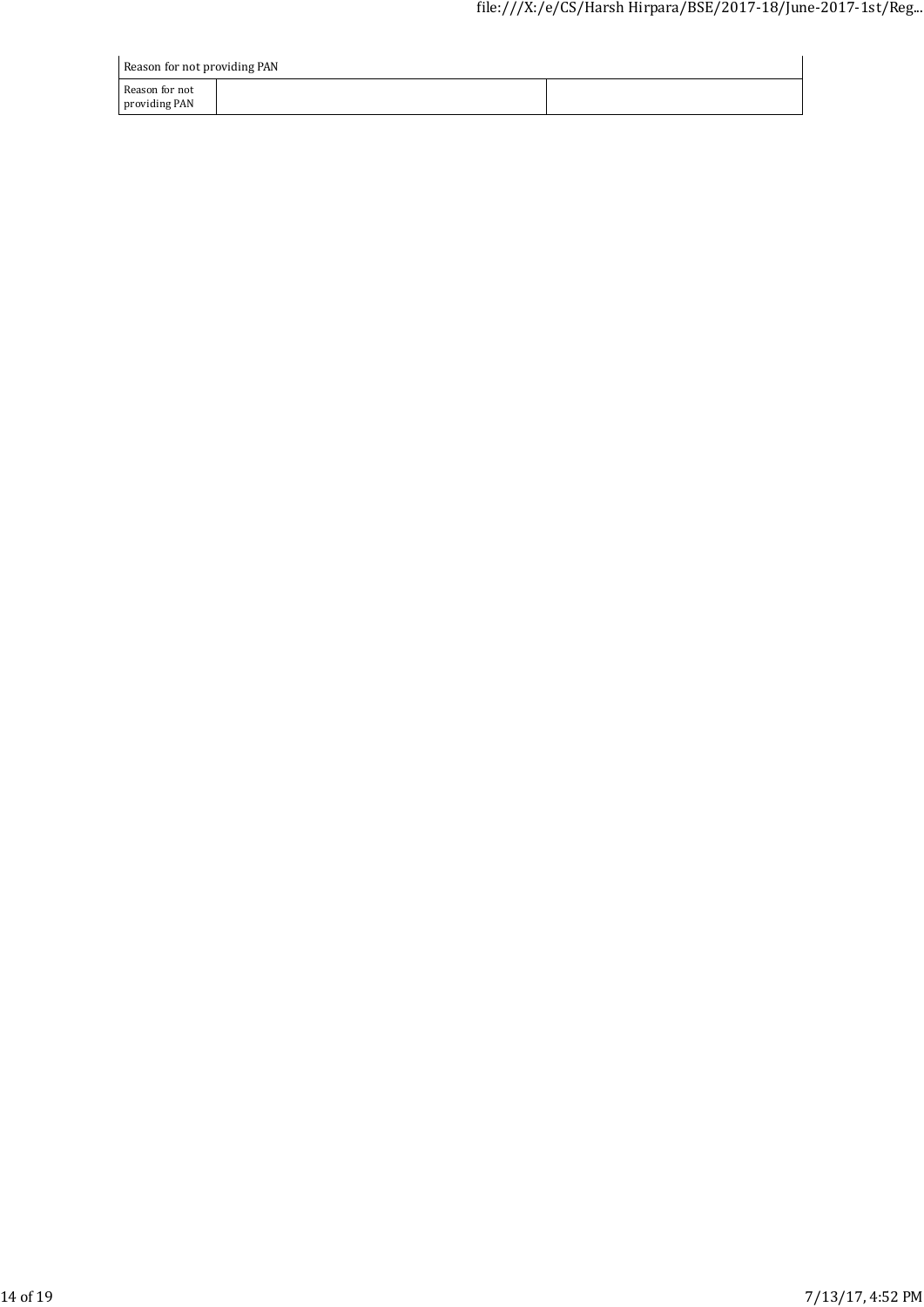| Reason for not providing PAN    |  |  |  |  |  |
|---------------------------------|--|--|--|--|--|
| Reason for not<br>providing PAN |  |  |  |  |  |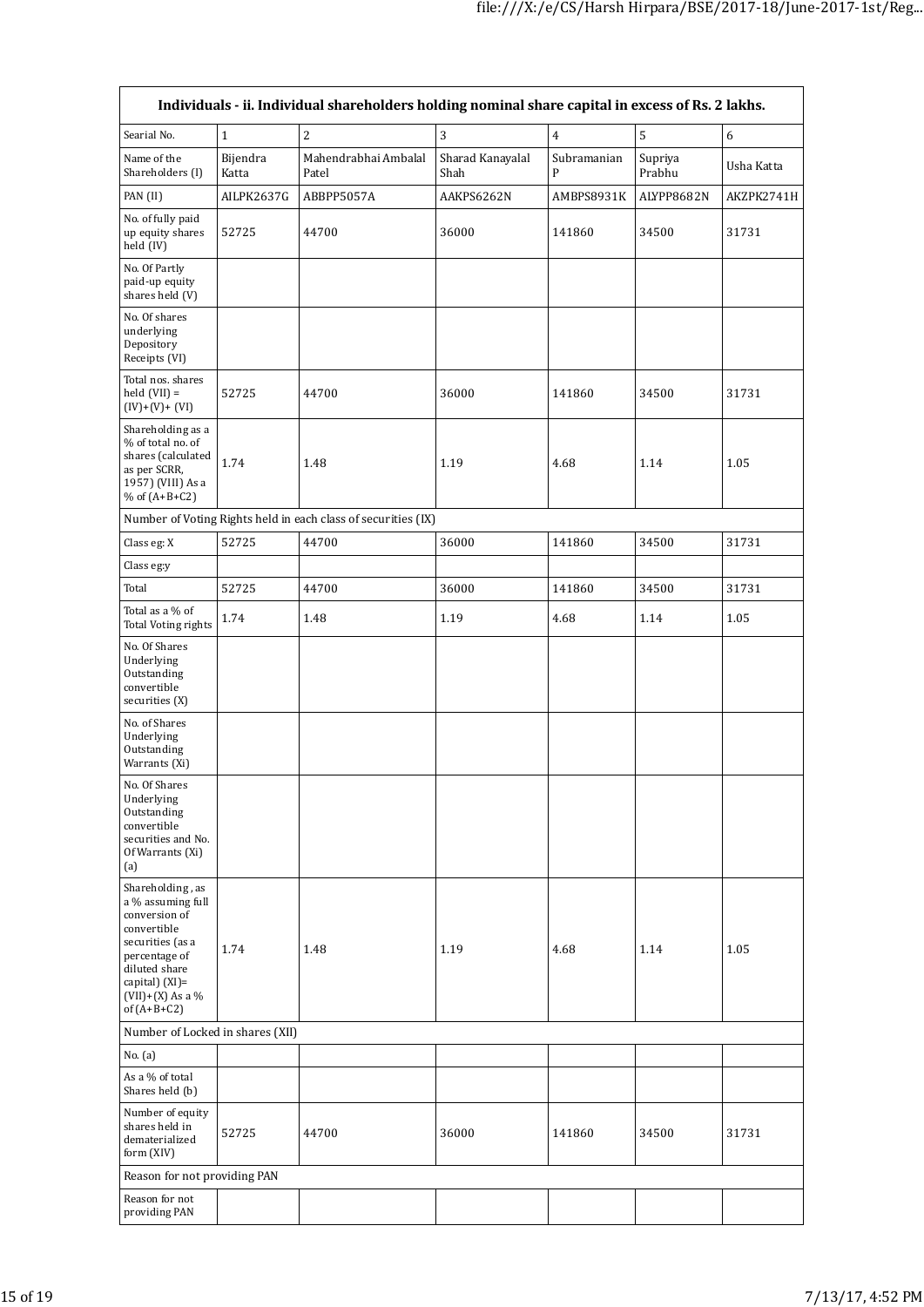| Individuals - ii. Individual shareholders holding nominal share capital in excess of Rs. 2 lakhs.                                                                                    |                   |                                                               |                          |                  |                   |                  |
|--------------------------------------------------------------------------------------------------------------------------------------------------------------------------------------|-------------------|---------------------------------------------------------------|--------------------------|------------------|-------------------|------------------|
| Searial No.                                                                                                                                                                          | $\mathbf{1}$      | $\overline{2}$                                                | 3                        | $\overline{4}$   | 5                 | $\boldsymbol{6}$ |
| Name of the<br>Shareholders (I)                                                                                                                                                      | Bijendra<br>Katta | Mahendrabhai Ambalal<br>Patel                                 | Sharad Kanayalal<br>Shah | Subramanian<br>P | Supriya<br>Prabhu | Usha Katta       |
| PAN (II)                                                                                                                                                                             | AILPK2637G        | ABBPP5057A                                                    | AAKPS6262N               | AMBPS8931K       | ALYPP8682N        | AKZPK2741H       |
| No. of fully paid<br>up equity shares<br>held (IV)                                                                                                                                   | 52725             | 44700                                                         | 36000                    | 141860           | 34500             | 31731            |
| No. Of Partly<br>paid-up equity<br>shares held (V)                                                                                                                                   |                   |                                                               |                          |                  |                   |                  |
| No. Of shares<br>underlying<br>Depository<br>Receipts (VI)                                                                                                                           |                   |                                                               |                          |                  |                   |                  |
| Total nos. shares<br>held $(VII) =$<br>$(IV)+(V)+(VI)$                                                                                                                               | 52725             | 44700                                                         | 36000                    | 141860           | 34500             | 31731            |
| Shareholding as a<br>% of total no. of<br>shares (calculated<br>as per SCRR,<br>1957) (VIII) As a<br>% of $(A+B+C2)$                                                                 | 1.74              | 1.48                                                          | 1.19                     | 4.68             | 1.14              | 1.05             |
|                                                                                                                                                                                      |                   | Number of Voting Rights held in each class of securities (IX) |                          |                  |                   |                  |
| Class eg: X                                                                                                                                                                          | 52725             | 44700                                                         | 36000                    | 141860           | 34500             | 31731            |
| Class eg:y                                                                                                                                                                           |                   |                                                               |                          |                  |                   |                  |
| Total                                                                                                                                                                                | 52725             | 44700                                                         | 36000                    | 141860           | 34500             | 31731            |
| Total as a % of<br>Total Voting rights                                                                                                                                               | 1.74              | 1.48                                                          | 1.19                     | 4.68             | 1.14              | 1.05             |
| No. Of Shares<br>Underlying<br>Outstanding<br>convertible<br>securities (X)                                                                                                          |                   |                                                               |                          |                  |                   |                  |
| No. of Shares<br>Underlying<br>Outstanding<br>Warrants (Xi)                                                                                                                          |                   |                                                               |                          |                  |                   |                  |
| No. Of Shares<br>Underlying<br>Outstanding<br>convertible<br>securities and No.<br>Of Warrants (Xi)<br>(a)                                                                           |                   |                                                               |                          |                  |                   |                  |
| Shareholding, as<br>a % assuming full<br>conversion of<br>convertible<br>securities (as a<br>percentage of<br>diluted share<br>capital) (XI)=<br>$(VII)+(X)$ As a %<br>of $(A+B+C2)$ | 1.74              | 1.48                                                          | 1.19                     | 4.68             | 1.14              | 1.05             |
| Number of Locked in shares (XII)                                                                                                                                                     |                   |                                                               |                          |                  |                   |                  |
| No. (a)                                                                                                                                                                              |                   |                                                               |                          |                  |                   |                  |
| As a % of total<br>Shares held (b)                                                                                                                                                   |                   |                                                               |                          |                  |                   |                  |
| Number of equity<br>shares held in<br>dematerialized<br>form (XIV)                                                                                                                   | 52725             | 44700                                                         | 36000                    | 141860           | 34500             | 31731            |
| Reason for not providing PAN                                                                                                                                                         |                   |                                                               |                          |                  |                   |                  |
| Reason for not<br>providing PAN                                                                                                                                                      |                   |                                                               |                          |                  |                   |                  |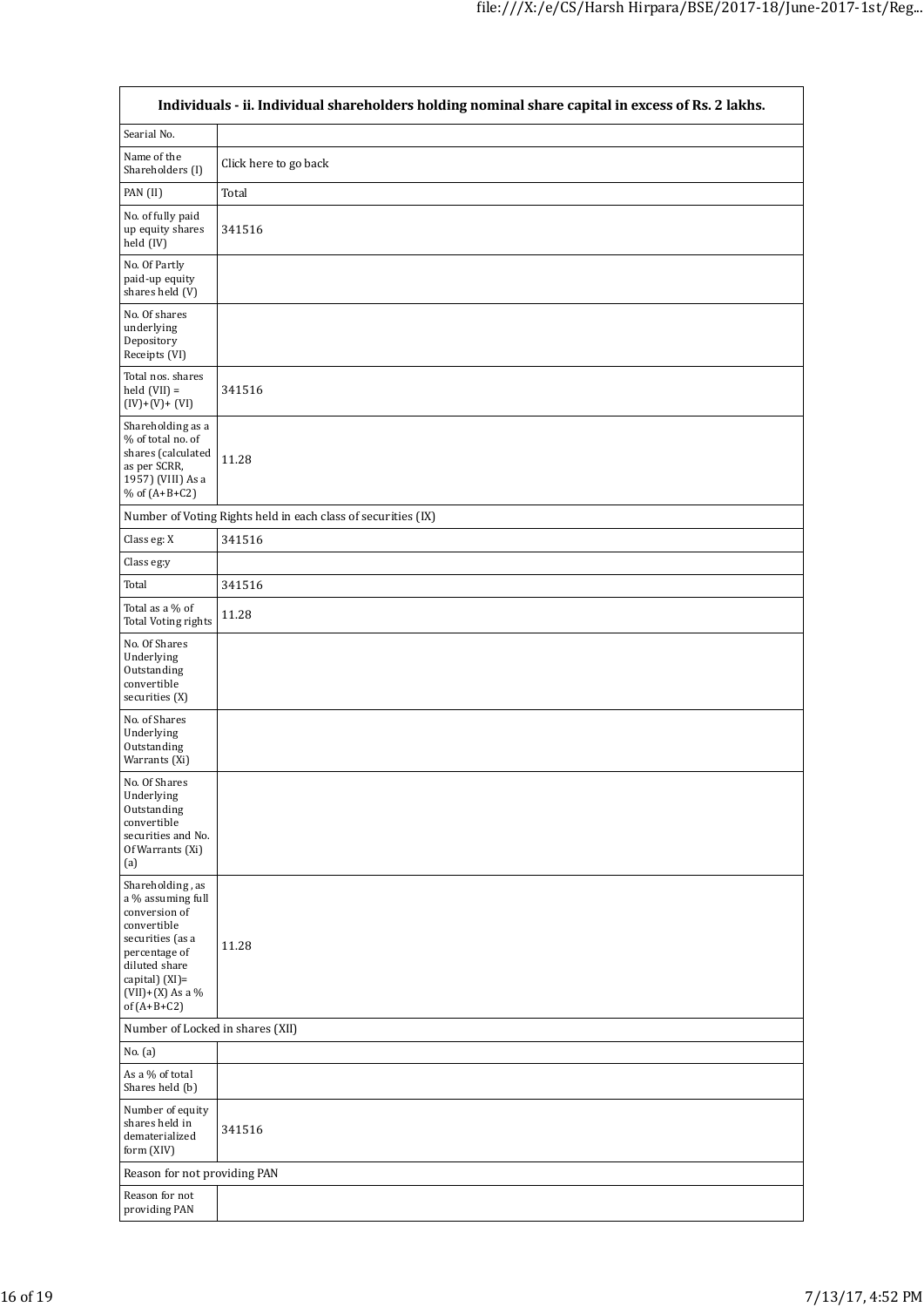| Individuals - ii. Individual shareholders holding nominal share capital in excess of Rs. 2 lakhs.                                                                                    |                                                               |  |  |  |  |  |
|--------------------------------------------------------------------------------------------------------------------------------------------------------------------------------------|---------------------------------------------------------------|--|--|--|--|--|
| Searial No.                                                                                                                                                                          |                                                               |  |  |  |  |  |
| Name of the<br>Shareholders (I)                                                                                                                                                      | Click here to go back                                         |  |  |  |  |  |
| PAN (II)                                                                                                                                                                             | Total                                                         |  |  |  |  |  |
| No. of fully paid<br>up equity shares<br>held (IV)                                                                                                                                   | 341516                                                        |  |  |  |  |  |
| No. Of Partly<br>paid-up equity<br>shares held (V)                                                                                                                                   |                                                               |  |  |  |  |  |
| No. Of shares<br>underlying<br>Depository<br>Receipts (VI)                                                                                                                           |                                                               |  |  |  |  |  |
| Total nos. shares<br>$held (VII) =$<br>$(IV)+(V)+(VI)$                                                                                                                               | 341516                                                        |  |  |  |  |  |
| Shareholding as a<br>% of total no. of<br>shares (calculated<br>as per SCRR,<br>1957) (VIII) As a<br>% of $(A+B+C2)$                                                                 | 11.28                                                         |  |  |  |  |  |
|                                                                                                                                                                                      | Number of Voting Rights held in each class of securities (IX) |  |  |  |  |  |
| Class eg: X                                                                                                                                                                          | 341516                                                        |  |  |  |  |  |
| Class eg:y                                                                                                                                                                           |                                                               |  |  |  |  |  |
| Total                                                                                                                                                                                | 341516                                                        |  |  |  |  |  |
| Total as a % of<br><b>Total Voting rights</b>                                                                                                                                        | 11.28                                                         |  |  |  |  |  |
| No. Of Shares<br>Underlying<br>Outstanding<br>convertible<br>securities (X)                                                                                                          |                                                               |  |  |  |  |  |
| No. of Shares<br>Underlying<br>Outstanding<br>Warrants (Xi)                                                                                                                          |                                                               |  |  |  |  |  |
| No. Of Shares<br>Underlying<br>Outstanding<br>convertible<br>securities and No.<br>Of Warrants (Xi)<br>(a)                                                                           |                                                               |  |  |  |  |  |
| Shareholding, as<br>a % assuming full<br>conversion of<br>convertible<br>securities (as a<br>percentage of<br>diluted share<br>capital) (XI)=<br>$(VII)+(X)$ As a %<br>of $(A+B+C2)$ | 11.28                                                         |  |  |  |  |  |
| Number of Locked in shares (XII)                                                                                                                                                     |                                                               |  |  |  |  |  |
| No. (a)                                                                                                                                                                              |                                                               |  |  |  |  |  |
| As a % of total<br>Shares held (b)                                                                                                                                                   |                                                               |  |  |  |  |  |
| Number of equity<br>shares held in<br>dematerialized<br>form (XIV)                                                                                                                   | 341516                                                        |  |  |  |  |  |
| Reason for not providing PAN                                                                                                                                                         |                                                               |  |  |  |  |  |
| Reason for not<br>providing PAN                                                                                                                                                      |                                                               |  |  |  |  |  |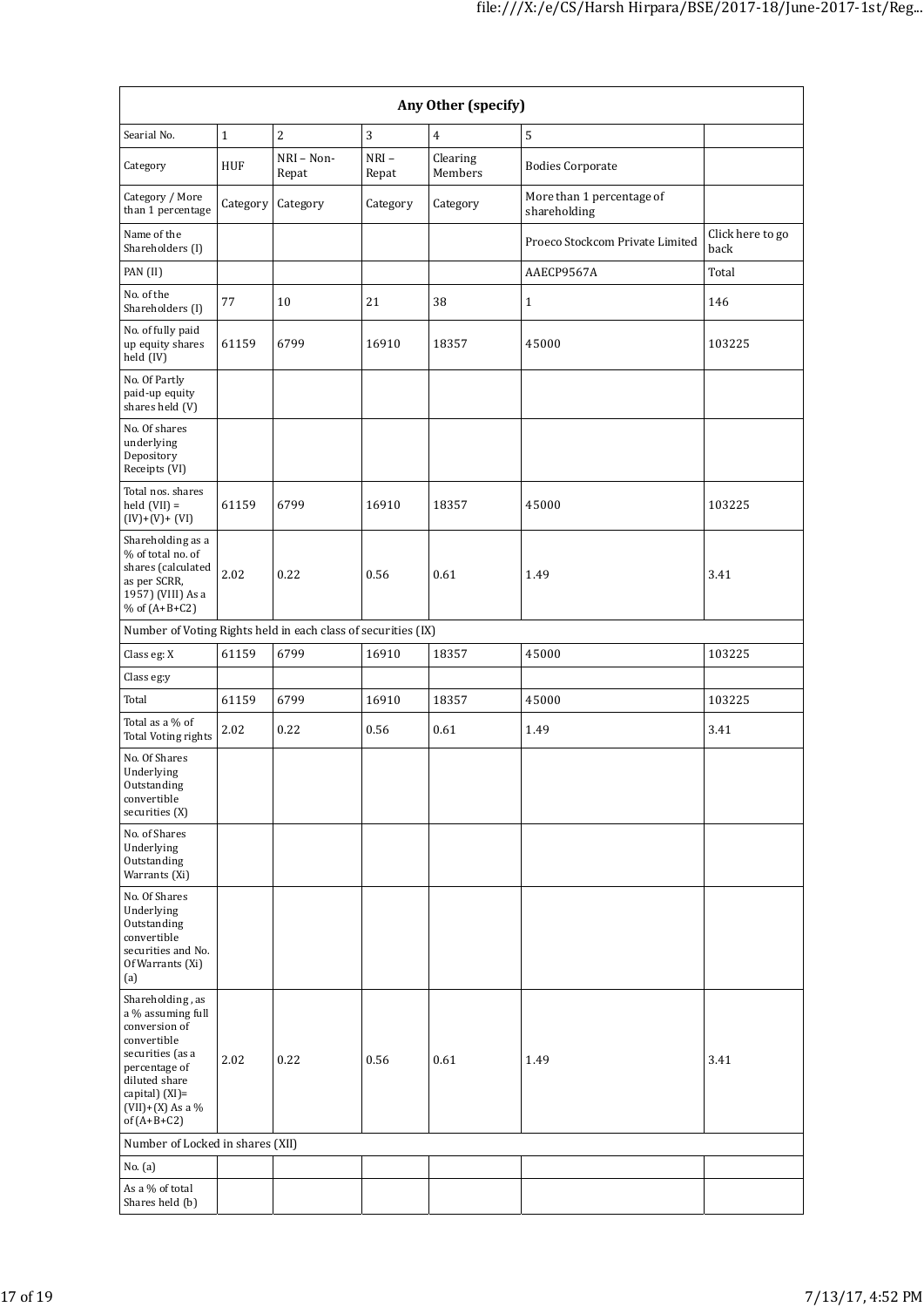| Any Other (specify)                                                                                                                                                                  |          |                     |                  |                     |                                           |                          |  |
|--------------------------------------------------------------------------------------------------------------------------------------------------------------------------------------|----------|---------------------|------------------|---------------------|-------------------------------------------|--------------------------|--|
| Searial No.                                                                                                                                                                          | $\,1\,$  | $\overline{c}$      | 3                | $\overline{4}$      | $\overline{5}$                            |                          |  |
| Category                                                                                                                                                                             | HUF      | NRI - Non-<br>Repat | $NRI -$<br>Repat | Clearing<br>Members | <b>Bodies Corporate</b>                   |                          |  |
| Category / More<br>than 1 percentage                                                                                                                                                 | Category | Category            | Category         | Category            | More than 1 percentage of<br>shareholding |                          |  |
| Name of the<br>Shareholders (I)                                                                                                                                                      |          |                     |                  |                     | Proeco Stockcom Private Limited           | Click here to go<br>back |  |
| PAN (II)                                                                                                                                                                             |          |                     |                  |                     | AAECP9567A                                | Total                    |  |
| No. of the<br>Shareholders (I)                                                                                                                                                       | 77       | 10                  | 21               | 38                  | $\mathbf{1}$                              | 146                      |  |
| No. of fully paid<br>up equity shares<br>held (IV)                                                                                                                                   | 61159    | 6799                | 16910            | 18357               | 45000                                     | 103225                   |  |
| No. Of Partly<br>paid-up equity<br>shares held (V)                                                                                                                                   |          |                     |                  |                     |                                           |                          |  |
| No. Of shares<br>underlying<br>Depository<br>Receipts (VI)                                                                                                                           |          |                     |                  |                     |                                           |                          |  |
| Total nos. shares<br>held $(VII) =$<br>$(IV)+(V)+(VI)$                                                                                                                               | 61159    | 6799                | 16910            | 18357               | 45000                                     | 103225                   |  |
| Shareholding as a<br>% of total no. of<br>shares (calculated<br>as per SCRR,<br>1957) (VIII) As a<br>% of $(A+B+C2)$                                                                 | 2.02     | 0.22                | 0.56             | 0.61                | 1.49                                      | 3.41                     |  |
| Number of Voting Rights held in each class of securities (IX)                                                                                                                        |          |                     |                  |                     |                                           |                          |  |
| Class eg: X                                                                                                                                                                          | 61159    | 6799                | 16910            | 18357               | 45000                                     | 103225                   |  |
| Class eg:y                                                                                                                                                                           |          |                     |                  |                     |                                           |                          |  |
| Total                                                                                                                                                                                | 61159    | 6799                | 16910            | 18357               | 45000                                     | 103225                   |  |
| Total as a % of<br>Total Voting rights                                                                                                                                               | 2.02     | 0.22                | 0.56             | 0.61                | 1.49                                      | 3.41                     |  |
| No. Of Shares<br>Underlying<br>Outstanding<br>convertible<br>securities (X)                                                                                                          |          |                     |                  |                     |                                           |                          |  |
| No. of Shares<br>Underlying<br>Outstanding<br>Warrants (Xi)                                                                                                                          |          |                     |                  |                     |                                           |                          |  |
| No. Of Shares<br>Underlying<br>Outstanding<br>convertible<br>securities and No.<br>Of Warrants (Xi)<br>(a)                                                                           |          |                     |                  |                     |                                           |                          |  |
| Shareholding, as<br>a % assuming full<br>conversion of<br>convertible<br>securities (as a<br>percentage of<br>diluted share<br>capital) (XI)=<br>$(VII)+(X)$ As a %<br>of $(A+B+C2)$ | 2.02     | 0.22                | 0.56             | 0.61                | 1.49                                      | 3.41                     |  |
| Number of Locked in shares (XII)                                                                                                                                                     |          |                     |                  |                     |                                           |                          |  |
| No. (a)                                                                                                                                                                              |          |                     |                  |                     |                                           |                          |  |
| As a % of total<br>Shares held (b)                                                                                                                                                   |          |                     |                  |                     |                                           |                          |  |